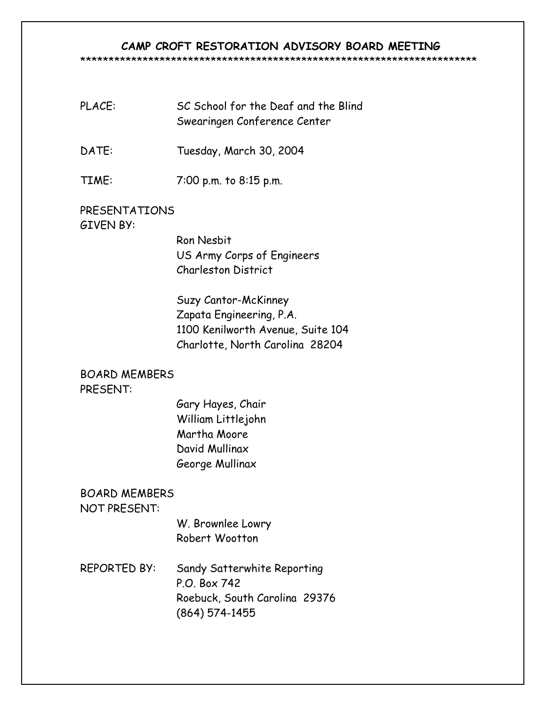# **CAMP CROFT RESTORATION ADVISORY BOARD MEETING**

#### \*\*\*\*\*\*\*\*\*\*\*\*\*\*\*\*\*\*\*\*\*\*\*\*\*\*\*\*\*\*\*\*\*\*\*\*\*\*\*\*\*\*\*\*\*\*\*\*\*\*\*\*\*\*\*\*\*\*\*\*\*\*\*\*\*\*\*\*\*\*

- PLACE: SC School for the Deaf and the Blind Swearingen Conference Center
- DATE: Tuesday, March 30, 2004
- TIME: 7:00 p.m. to 8:15 p.m.

# PRESENTATIONS GIVEN BY:

Ron Nesbit US Army Corps of Engineers Charleston District

 Suzy Cantor-McKinney Zapata Engineering, P.A. 1100 Kenilworth Avenue, Suite 104 Charlotte, North Carolina 28204

# BOARD MEMBERS

# PRESENT:

Gary Hayes, Chair William Littlejohn Martha Moore David Mullinax George Mullinax

# BOARD MEMBERS

# NOT PRESENT:

W. Brownlee Lowry Robert Wootton

REPORTED BY: Sandy Satterwhite Reporting P.O. Box 742 Roebuck, South Carolina 29376 (864) 574-1455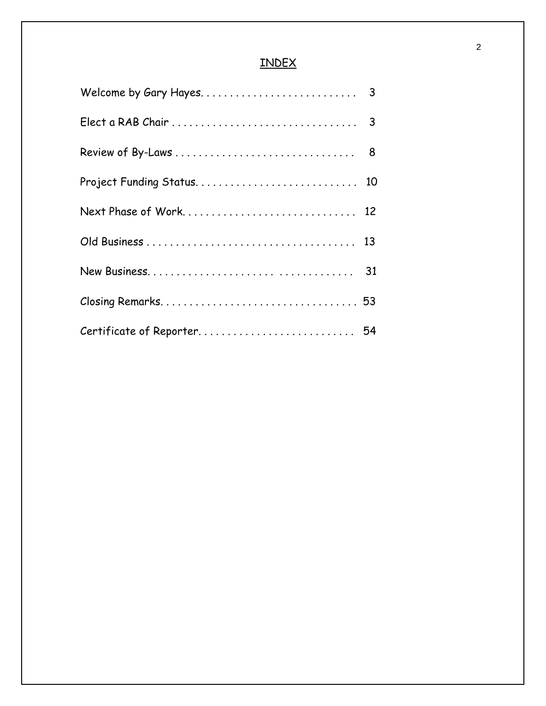# INDEX

| Certificate of Reporter 54 |  |
|----------------------------|--|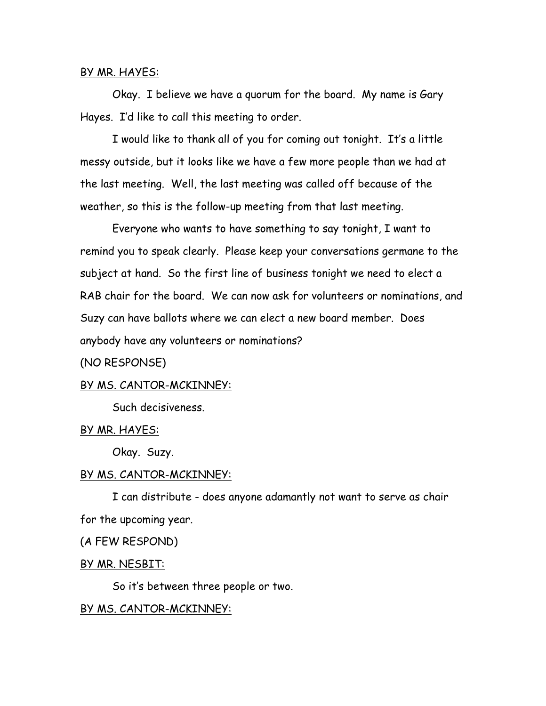### BY MR. HAYES:

Okay. I believe we have a quorum for the board. My name is Gary Hayes. I'd like to call this meeting to order.

I would like to thank all of you for coming out tonight. It's a little messy outside, but it looks like we have a few more people than we had at the last meeting. Well, the last meeting was called off because of the weather, so this is the follow-up meeting from that last meeting.

Everyone who wants to have something to say tonight, I want to remind you to speak clearly. Please keep your conversations germane to the subject at hand. So the first line of business tonight we need to elect a RAB chair for the board. We can now ask for volunteers or nominations, and Suzy can have ballots where we can elect a new board member. Does anybody have any volunteers or nominations?

# (NO RESPONSE)

# BY MS. CANTOR-MCKINNEY:

Such decisiveness.

### BY MR. HAYES:

Okay. Suzy.

### BY MS. CANTOR-MCKINNEY:

I can distribute - does anyone adamantly not want to serve as chair for the upcoming year.

(A FEW RESPOND)

# BY MR. NESBIT:

So it's between three people or two.

# BY MS. CANTOR-MCKINNEY: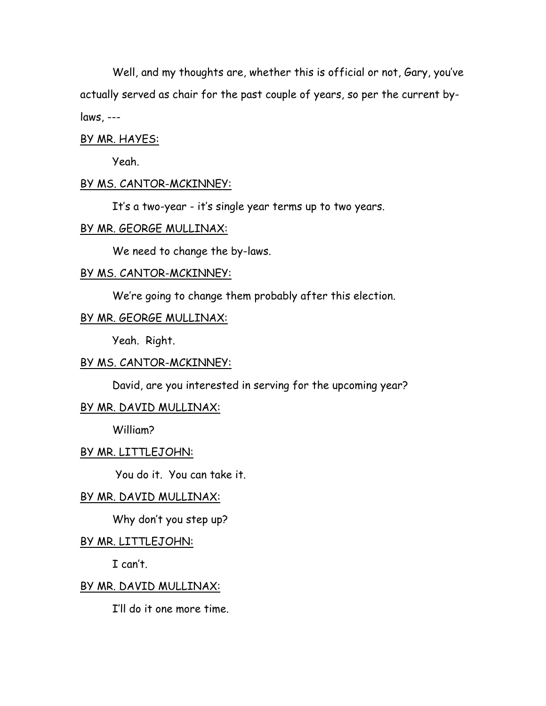Well, and my thoughts are, whether this is official or not, Gary, you've actually served as chair for the past couple of years, so per the current bylaws, ---

### BY MR. HAYES:

Yeah.

### BY MS. CANTOR-MCKINNEY:

It's a two-year - it's single year terms up to two years.

### BY MR. GEORGE MULLINAX:

We need to change the by-laws.

# BY MS. CANTOR-MCKINNEY:

We're going to change them probably after this election.

# BY MR. GEORGE MULLINAX:

Yeah. Right.

# BY MS. CANTOR-MCKINNEY:

David, are you interested in serving for the upcoming year?

# BY MR. DAVID MULLINAX:

William?

### BY MR. LITTLEJOHN:

You do it. You can take it.

### BY MR. DAVID MULLINAX:

Why don't you step up?

#### BY MR. LITTLEJOHN:

I can't.

### BY MR. DAVID MULLINAX:

I'll do it one more time.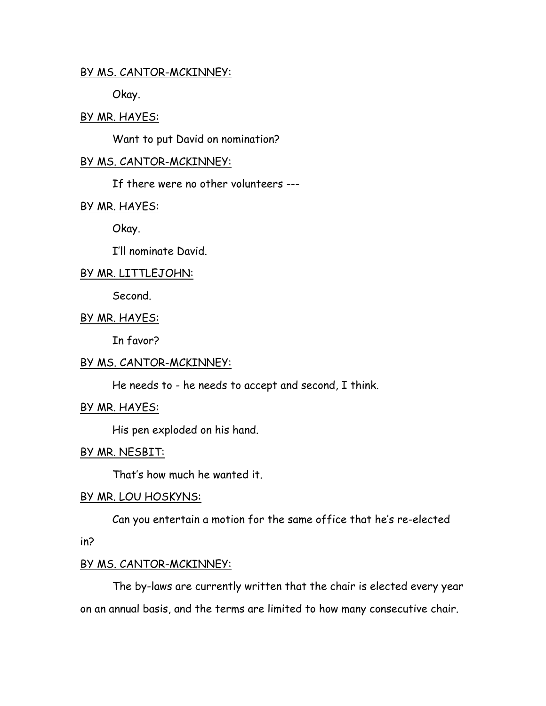# BY MS. CANTOR-MCKINNEY:

Okay.

# BY MR. HAYES:

Want to put David on nomination?

# BY MS. CANTOR-MCKINNEY:

If there were no other volunteers ---

# BY MR. HAYES:

Okay.

I'll nominate David.

# BY MR. LITTLEJOHN:

Second.

# BY MR. HAYES:

In favor?

# BY MS. CANTOR-MCKINNEY:

He needs to - he needs to accept and second, I think.

# BY MR. HAYES:

His pen exploded on his hand.

# BY MR. NESBIT:

That's how much he wanted it.

# BY MR. LOU HOSKYNS:

Can you entertain a motion for the same office that he's re-elected

in?

# BY MS. CANTOR-MCKINNEY:

The by-laws are currently written that the chair is elected every year on an annual basis, and the terms are limited to how many consecutive chair.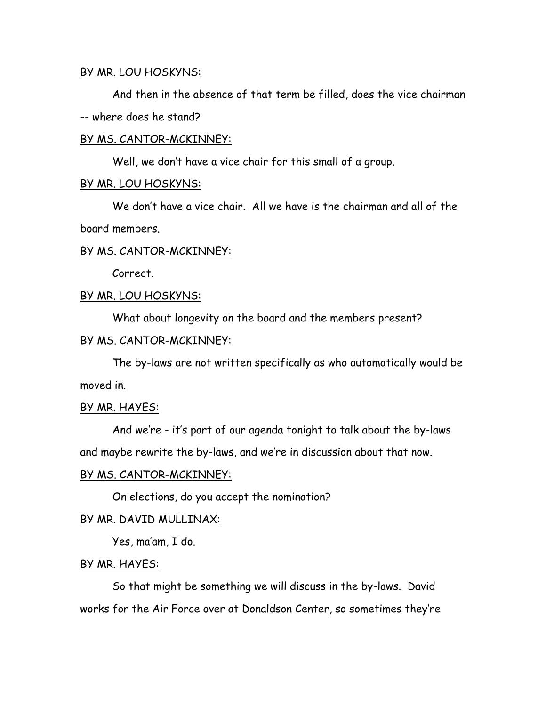# BY MR. LOU HOSKYNS:

And then in the absence of that term be filled, does the vice chairman -- where does he stand?

# BY MS. CANTOR-MCKINNEY:

Well, we don't have a vice chair for this small of a group.

# BY MR. LOU HOSKYNS:

We don't have a vice chair. All we have is the chairman and all of the board members.

# BY MS. CANTOR-MCKINNEY:

Correct.

# BY MR. LOU HOSKYNS:

What about longevity on the board and the members present?

# BY MS. CANTOR-MCKINNEY:

The by-laws are not written specifically as who automatically would be moved in.

# BY MR. HAYES:

And we're - it's part of our agenda tonight to talk about the by-laws and maybe rewrite the by-laws, and we're in discussion about that now.

# BY MS. CANTOR-MCKINNEY:

On elections, do you accept the nomination?

# BY MR. DAVID MULLINAX:

Yes, ma'am, I do.

### BY MR. HAYES:

So that might be something we will discuss in the by-laws. David works for the Air Force over at Donaldson Center, so sometimes they're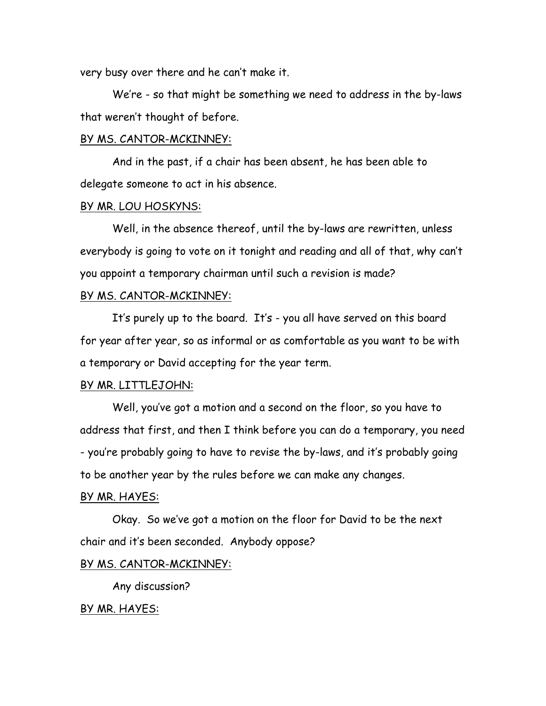very busy over there and he can't make it.

We're - so that might be something we need to address in the by-laws that weren't thought of before.

### BY MS. CANTOR-MCKINNEY:

And in the past, if a chair has been absent, he has been able to delegate someone to act in his absence.

# BY MR. LOU HOSKYNS:

Well, in the absence thereof, until the by-laws are rewritten, unless everybody is going to vote on it tonight and reading and all of that, why can't you appoint a temporary chairman until such a revision is made?

# BY MS. CANTOR-MCKINNEY:

It's purely up to the board. It's - you all have served on this board for year after year, so as informal or as comfortable as you want to be with a temporary or David accepting for the year term.

### BY MR. LITTLEJOHN:

Well, you've got a motion and a second on the floor, so you have to address that first, and then I think before you can do a temporary, you need - you're probably going to have to revise the by-laws, and it's probably going to be another year by the rules before we can make any changes.

#### BY MR. HAYES:

Okay. So we've got a motion on the floor for David to be the next chair and it's been seconded. Anybody oppose?

### BY MS. CANTOR-MCKINNEY:

Any discussion?

### BY MR. HAYES: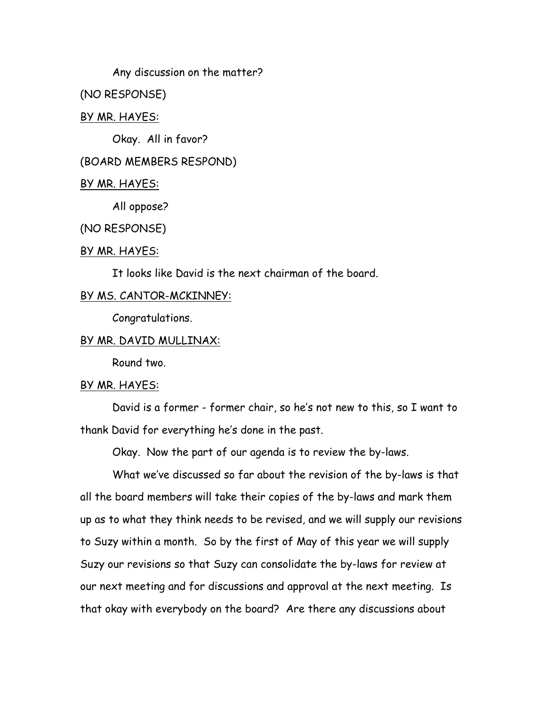Any discussion on the matter?

(NO RESPONSE)

# BY MR. HAYES:

Okay. All in favor?

# (BOARD MEMBERS RESPOND)

### BY MR. HAYES:

All oppose?

### (NO RESPONSE)

### BY MR. HAYES:

It looks like David is the next chairman of the board.

# BY MS. CANTOR-MCKINNEY:

Congratulations.

# BY MR. DAVID MULLINAX:

Round two.

# BY MR. HAYES:

David is a former - former chair, so he's not new to this, so I want to thank David for everything he's done in the past.

Okay. Now the part of our agenda is to review the by-laws.

What we've discussed so far about the revision of the by-laws is that all the board members will take their copies of the by-laws and mark them up as to what they think needs to be revised, and we will supply our revisions to Suzy within a month. So by the first of May of this year we will supply Suzy our revisions so that Suzy can consolidate the by-laws for review at our next meeting and for discussions and approval at the next meeting. Is that okay with everybody on the board? Are there any discussions about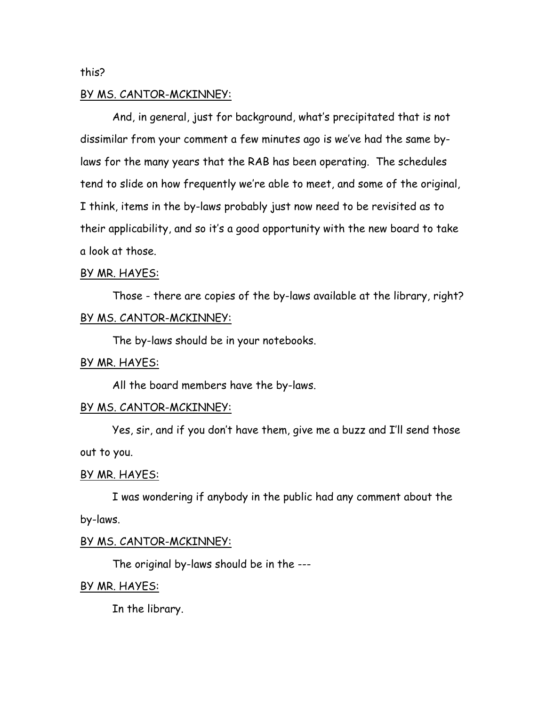### this?

### BY MS. CANTOR-MCKINNEY:

And, in general, just for background, what's precipitated that is not dissimilar from your comment a few minutes ago is we've had the same bylaws for the many years that the RAB has been operating. The schedules tend to slide on how frequently we're able to meet, and some of the original, I think, items in the by-laws probably just now need to be revisited as to their applicability, and so it's a good opportunity with the new board to take a look at those.

### BY MR. HAYES:

Those - there are copies of the by-laws available at the library, right? BY MS. CANTOR-MCKINNEY:

The by-laws should be in your notebooks.

### BY MR. HAYES:

All the board members have the by-laws.

### BY MS. CANTOR-MCKINNEY:

Yes, sir, and if you don't have them, give me a buzz and I'll send those out to you.

### BY MR. HAYES:

I was wondering if anybody in the public had any comment about the by-laws.

### BY MS. CANTOR-MCKINNEY:

The original by-laws should be in the ---

### BY MR. HAYES:

In the library.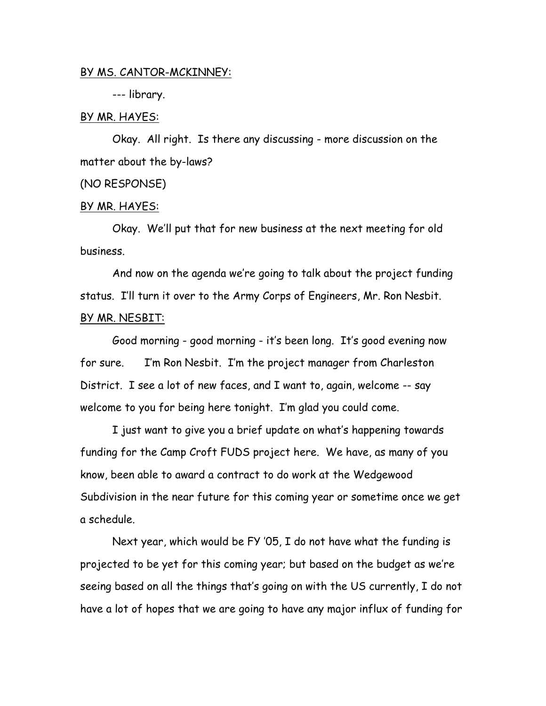### BY MS. CANTOR-MCKINNEY:

--- library.

### BY MR. HAYES:

Okay. All right. Is there any discussing - more discussion on the matter about the by-laws?

# (NO RESPONSE)

### BY MR. HAYES:

Okay. We'll put that for new business at the next meeting for old business.

And now on the agenda we're going to talk about the project funding status. I'll turn it over to the Army Corps of Engineers, Mr. Ron Nesbit. BY MR. NESBIT:

Good morning - good morning - it's been long. It's good evening now for sure. I'm Ron Nesbit. I'm the project manager from Charleston District. I see a lot of new faces, and I want to, again, welcome -- say welcome to you for being here tonight. I'm glad you could come.

I just want to give you a brief update on what's happening towards funding for the Camp Croft FUDS project here. We have, as many of you know, been able to award a contract to do work at the Wedgewood Subdivision in the near future for this coming year or sometime once we get a schedule.

Next year, which would be FY '05, I do not have what the funding is projected to be yet for this coming year; but based on the budget as we're seeing based on all the things that's going on with the US currently, I do not have a lot of hopes that we are going to have any major influx of funding for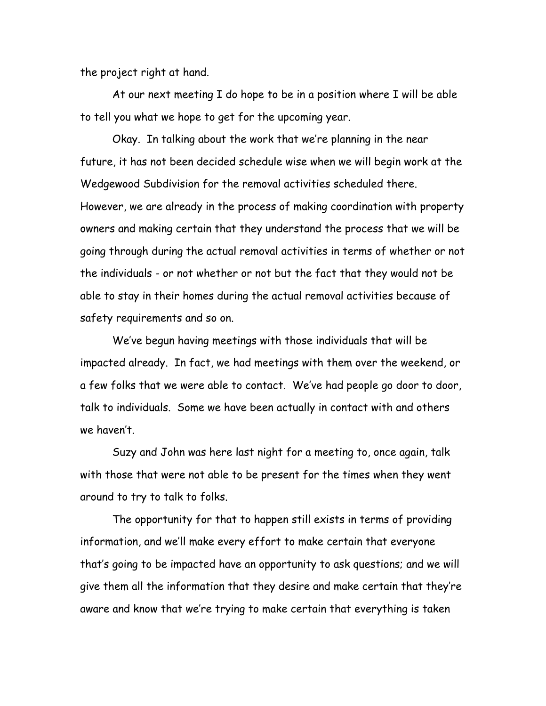the project right at hand.

At our next meeting I do hope to be in a position where I will be able to tell you what we hope to get for the upcoming year.

Okay. In talking about the work that we're planning in the near future, it has not been decided schedule wise when we will begin work at the Wedgewood Subdivision for the removal activities scheduled there. However, we are already in the process of making coordination with property owners and making certain that they understand the process that we will be going through during the actual removal activities in terms of whether or not the individuals - or not whether or not but the fact that they would not be able to stay in their homes during the actual removal activities because of safety requirements and so on.

We've begun having meetings with those individuals that will be impacted already. In fact, we had meetings with them over the weekend, or a few folks that we were able to contact. We've had people go door to door, talk to individuals. Some we have been actually in contact with and others we haven't.

Suzy and John was here last night for a meeting to, once again, talk with those that were not able to be present for the times when they went around to try to talk to folks.

The opportunity for that to happen still exists in terms of providing information, and we'll make every effort to make certain that everyone that's going to be impacted have an opportunity to ask questions; and we will give them all the information that they desire and make certain that they're aware and know that we're trying to make certain that everything is taken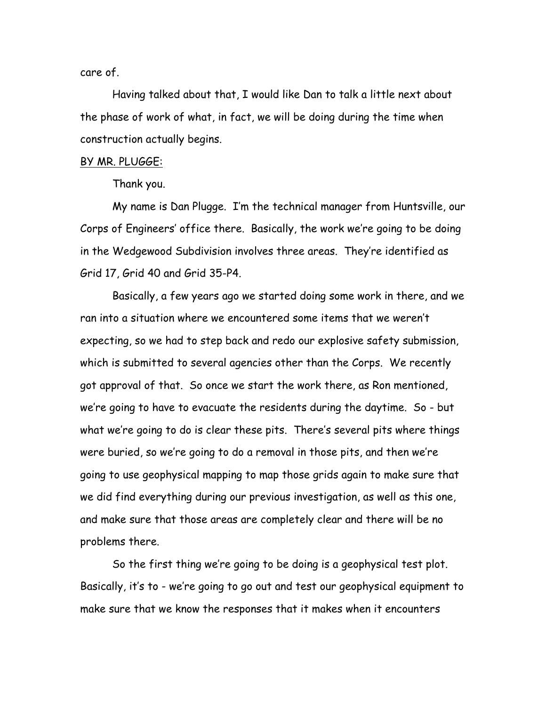care of.

Having talked about that, I would like Dan to talk a little next about the phase of work of what, in fact, we will be doing during the time when construction actually begins.

### BY MR. PLUGGE:

Thank you.

My name is Dan Plugge. I'm the technical manager from Huntsville, our Corps of Engineers' office there. Basically, the work we're going to be doing in the Wedgewood Subdivision involves three areas. They're identified as Grid 17, Grid 40 and Grid 35-P4.

Basically, a few years ago we started doing some work in there, and we ran into a situation where we encountered some items that we weren't expecting, so we had to step back and redo our explosive safety submission, which is submitted to several agencies other than the Corps. We recently got approval of that. So once we start the work there, as Ron mentioned, we're going to have to evacuate the residents during the daytime. So - but what we're going to do is clear these pits. There's several pits where things were buried, so we're going to do a removal in those pits, and then we're going to use geophysical mapping to map those grids again to make sure that we did find everything during our previous investigation, as well as this one, and make sure that those areas are completely clear and there will be no problems there.

So the first thing we're going to be doing is a geophysical test plot. Basically, it's to - we're going to go out and test our geophysical equipment to make sure that we know the responses that it makes when it encounters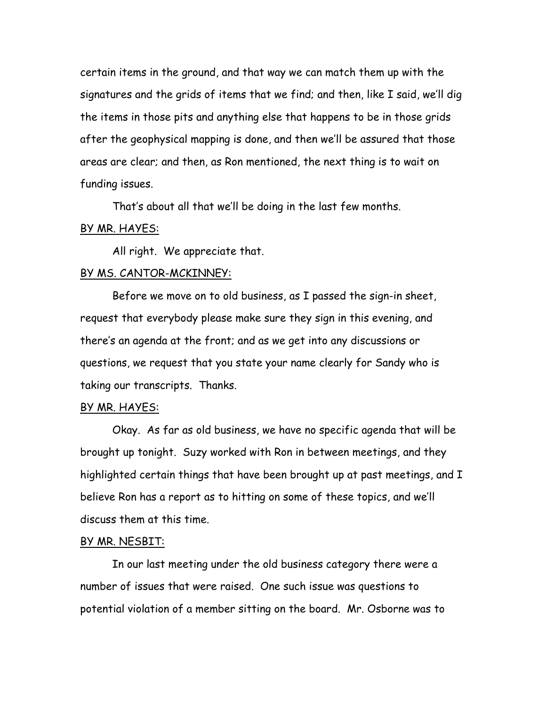certain items in the ground, and that way we can match them up with the signatures and the grids of items that we find; and then, like I said, we'll dig the items in those pits and anything else that happens to be in those grids after the geophysical mapping is done, and then we'll be assured that those areas are clear; and then, as Ron mentioned, the next thing is to wait on funding issues.

That's about all that we'll be doing in the last few months.

### <u>BY MR. HAYES:</u>

All right. We appreciate that.

### BY MS. CANTOR-MCKINNEY:

Before we move on to old business, as I passed the sign-in sheet, request that everybody please make sure they sign in this evening, and there's an agenda at the front; and as we get into any discussions or questions, we request that you state your name clearly for Sandy who is taking our transcripts. Thanks.

### BY MR. HAYES:

Okay. As far as old business, we have no specific agenda that will be brought up tonight. Suzy worked with Ron in between meetings, and they highlighted certain things that have been brought up at past meetings, and I believe Ron has a report as to hitting on some of these topics, and we'll discuss them at this time.

#### BY MR. NESBIT:

In our last meeting under the old business category there were a number of issues that were raised. One such issue was questions to potential violation of a member sitting on the board. Mr. Osborne was to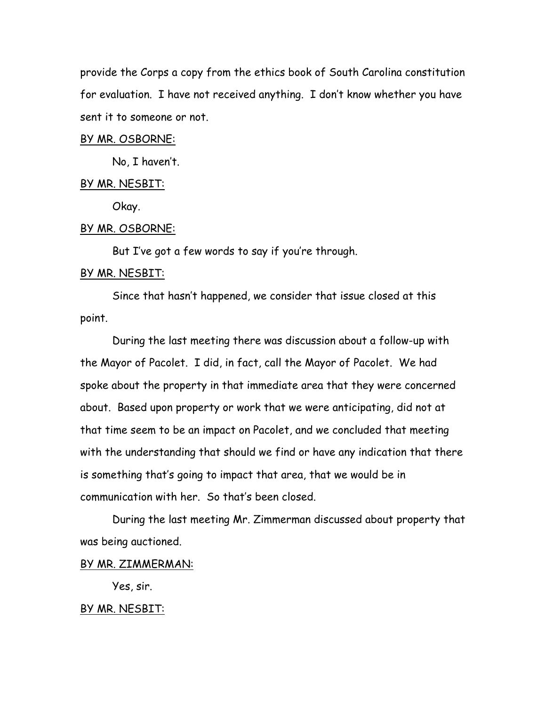provide the Corps a copy from the ethics book of South Carolina constitution for evaluation. I have not received anything. I don't know whether you have sent it to someone or not.

### BY MR. OSBORNE:

No, I haven't.

### BY MR. NESBIT:

Okay.

#### BY MR. OSBORNE:

But I've got a few words to say if you're through.

### BY MR. NESBIT:

Since that hasn't happened, we consider that issue closed at this point.

During the last meeting there was discussion about a follow-up with the Mayor of Pacolet. I did, in fact, call the Mayor of Pacolet. We had spoke about the property in that immediate area that they were concerned about. Based upon property or work that we were anticipating, did not at that time seem to be an impact on Pacolet, and we concluded that meeting with the understanding that should we find or have any indication that there is something that's going to impact that area, that we would be in communication with her. So that's been closed.

During the last meeting Mr. Zimmerman discussed about property that was being auctioned.

# BY MR. ZIMMERMAN:

Yes, sir.

# BY MR. NESBIT: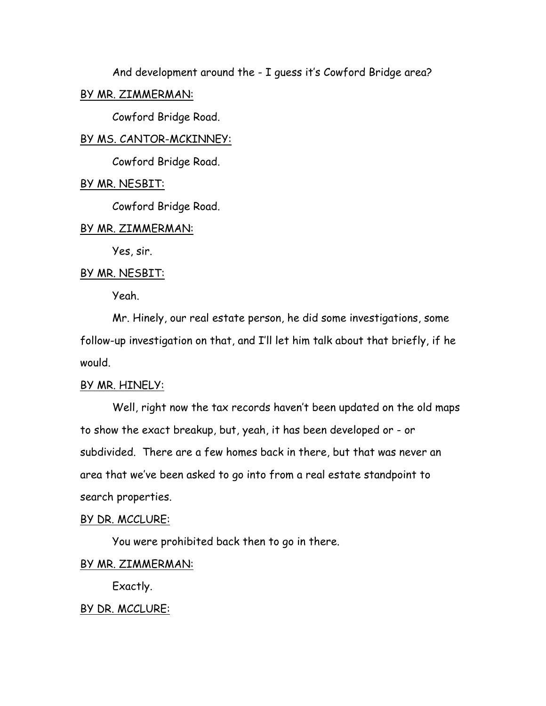And development around the - I guess it's Cowford Bridge area?

# BY MR. ZIMMERMAN:

Cowford Bridge Road.

# BY MS. CANTOR-MCKINNEY:

Cowford Bridge Road.

### BY MR. NESBIT:

Cowford Bridge Road.

### BY MR. ZIMMERMAN:

Yes, sir.

### BY MR. NESBIT:

Yeah.

Mr. Hinely, our real estate person, he did some investigations, some follow-up investigation on that, and I'll let him talk about that briefly, if he would.

# BY MR. HINELY:

Well, right now the tax records haven't been updated on the old maps to show the exact breakup, but, yeah, it has been developed or - or subdivided. There are a few homes back in there, but that was never an area that we've been asked to go into from a real estate standpoint to search properties.

### BY DR. MCCLURE:

You were prohibited back then to go in there.

# BY MR. ZIMMERMAN:

Exactly.

### BY DR. MCCLURE: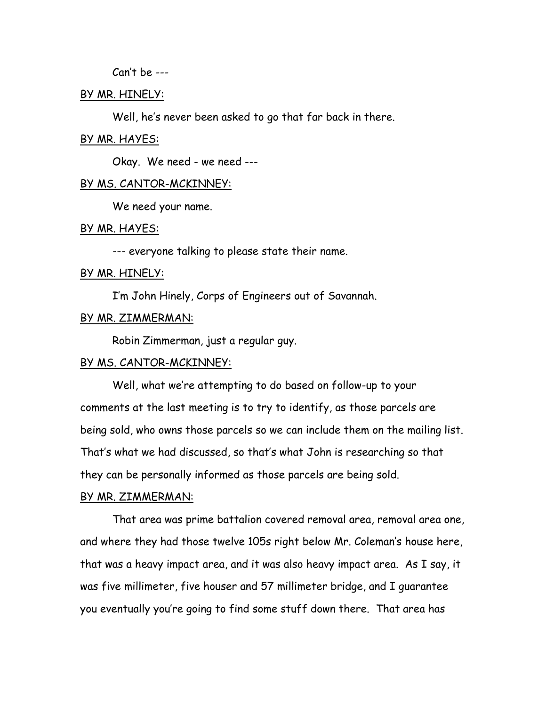Can't be ---

### BY MR. HINELY:

Well, he's never been asked to go that far back in there.

#### BY MR. HAYES:

Okay. We need - we need ---

### BY MS. CANTOR-MCKINNEY:

We need your name.

### BY MR. HAYES:

--- everyone talking to please state their name.

#### BY MR. HINELY:

I'm John Hinely, Corps of Engineers out of Savannah.

# BY MR. ZIMMERMAN:

Robin Zimmerman, just a regular guy.

### BY MS. CANTOR-MCKINNEY:

Well, what we're attempting to do based on follow-up to your comments at the last meeting is to try to identify, as those parcels are being sold, who owns those parcels so we can include them on the mailing list. That's what we had discussed, so that's what John is researching so that they can be personally informed as those parcels are being sold.

### BY MR. ZIMMERMAN:

That area was prime battalion covered removal area, removal area one, and where they had those twelve 105s right below Mr. Coleman's house here, that was a heavy impact area, and it was also heavy impact area. As I say, it was five millimeter, five houser and 57 millimeter bridge, and I guarantee you eventually you're going to find some stuff down there. That area has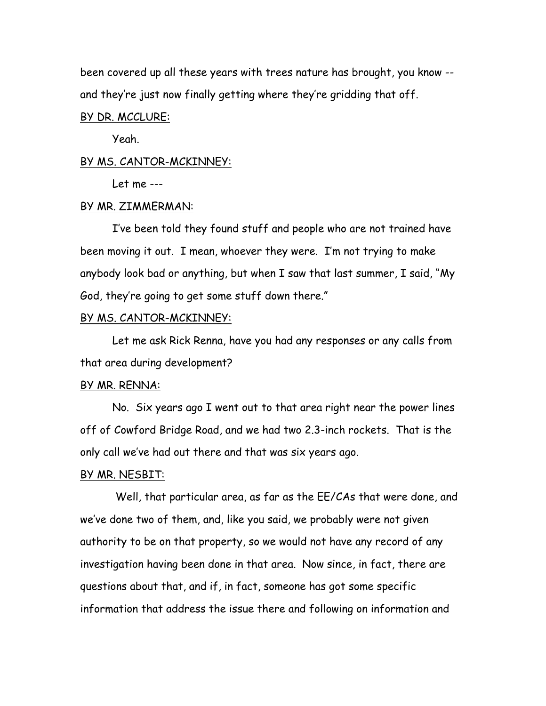been covered up all these years with trees nature has brought, you know - and they're just now finally getting where they're gridding that off.

### BY DR. MCCLURE:

Yeah.

#### BY MS. CANTOR-MCKINNEY:

Let me ---

# BY MR. ZIMMERMAN:

I've been told they found stuff and people who are not trained have been moving it out. I mean, whoever they were. I'm not trying to make anybody look bad or anything, but when I saw that last summer, I said, "My God, they're going to get some stuff down there."

### BY MS. CANTOR-MCKINNEY:

Let me ask Rick Renna, have you had any responses or any calls from that area during development?

### BY MR. RENNA:

No. Six years ago I went out to that area right near the power lines off of Cowford Bridge Road, and we had two 2.3-inch rockets. That is the only call we've had out there and that was six years ago.

#### BY MR. NESBIT:

 Well, that particular area, as far as the EE/CAs that were done, and we've done two of them, and, like you said, we probably were not given authority to be on that property, so we would not have any record of any investigation having been done in that area. Now since, in fact, there are questions about that, and if, in fact, someone has got some specific information that address the issue there and following on information and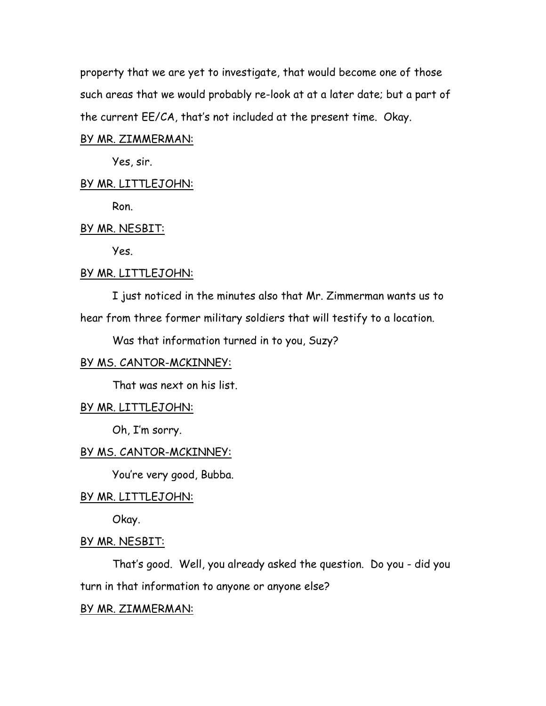property that we are yet to investigate, that would become one of those such areas that we would probably re-look at at a later date; but a part of the current EE/CA, that's not included at the present time. Okay.

### BY MR. ZIMMERMAN:

Yes, sir.

### BY MR. LITTLEJOHN:

Ron.

### BY MR. NESBIT:

Yes.

### BY MR. LITTLEJOHN:

I just noticed in the minutes also that Mr. Zimmerman wants us to

hear from three former military soldiers that will testify to a location.

Was that information turned in to you, Suzy?

# BY MS. CANTOR-MCKINNEY:

That was next on his list.

### BY MR. LITTLEJOHN:

Oh, I'm sorry.

### BY MS. CANTOR-MCKINNEY:

You're very good, Bubba.

# BY MR. LITTLEJOHN:

Okay.

### BY MR. NESBIT:

That's good. Well, you already asked the question. Do you - did you turn in that information to anyone or anyone else?

# BY MR. ZIMMERMAN: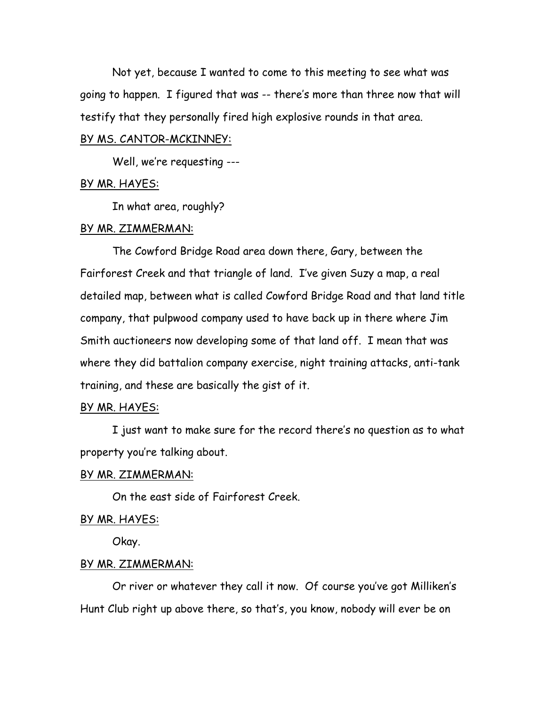Not yet, because I wanted to come to this meeting to see what was going to happen. I figured that was -- there's more than three now that will testify that they personally fired high explosive rounds in that area.

# BY MS. CANTOR-MCKINNEY:

Well, we're requesting ---

### BY MR. HAYES:

In what area, roughly?

#### BY MR. ZIMMERMAN:

The Cowford Bridge Road area down there, Gary, between the Fairforest Creek and that triangle of land. I've given Suzy a map, a real detailed map, between what is called Cowford Bridge Road and that land title company, that pulpwood company used to have back up in there where Jim Smith auctioneers now developing some of that land off. I mean that was where they did battalion company exercise, night training attacks, anti-tank training, and these are basically the gist of it.

### BY MR. HAYES:

I just want to make sure for the record there's no question as to what property you're talking about.

#### BY MR. ZIMMERMAN:

On the east side of Fairforest Creek.

### BY MR. HAYES:

Okay.

# BY MR. ZIMMERMAN:

Or river or whatever they call it now. Of course you've got Milliken's Hunt Club right up above there, so that's, you know, nobody will ever be on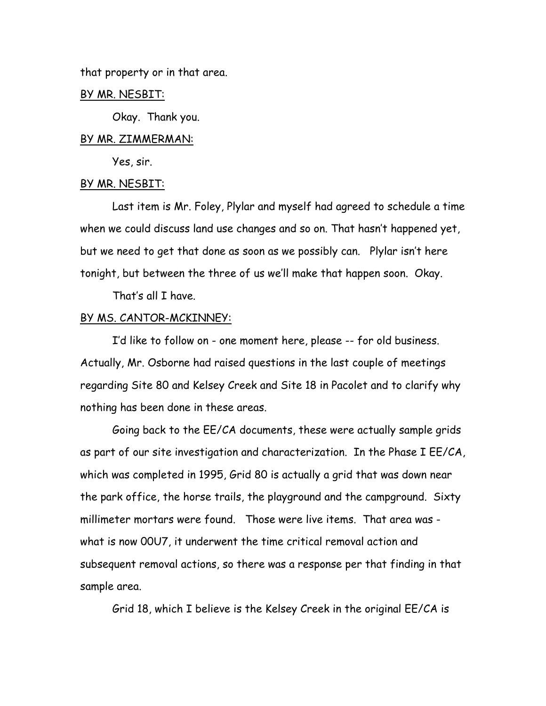that property or in that area.

### BY MR. NESBIT:

Okay. Thank you.

### BY MR. ZIMMERMAN:

Yes, sir.

#### BY MR. NESBIT:

Last item is Mr. Foley, Plylar and myself had agreed to schedule a time when we could discuss land use changes and so on. That hasn't happened yet, but we need to get that done as soon as we possibly can. Plylar isn't here tonight, but between the three of us we'll make that happen soon. Okay.

That's all I have.

# BY MS. CANTOR-MCKINNEY:

I'd like to follow on - one moment here, please -- for old business. Actually, Mr. Osborne had raised questions in the last couple of meetings regarding Site 80 and Kelsey Creek and Site 18 in Pacolet and to clarify why nothing has been done in these areas.

Going back to the EE/CA documents, these were actually sample grids as part of our site investigation and characterization. In the Phase I EE/CA, which was completed in 1995, Grid 80 is actually a grid that was down near the park office, the horse trails, the playground and the campground. Sixty millimeter mortars were found. Those were live items. That area was what is now 00U7, it underwent the time critical removal action and subsequent removal actions, so there was a response per that finding in that sample area.

Grid 18, which I believe is the Kelsey Creek in the original EE/CA is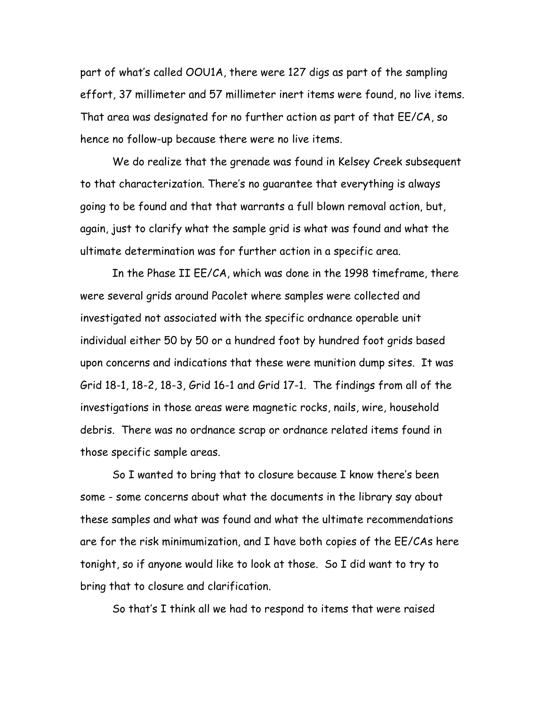part of what's called OOU1A, there were 127 digs as part of the sampling effort, 37 millimeter and 57 millimeter inert items were found, no live items. That area was designated for no further action as part of that EE/CA, so hence no follow-up because there were no live items.

We do realize that the grenade was found in Kelsey Creek subsequent to that characterization. There's no guarantee that everything is always going to be found and that that warrants a full blown removal action, but, again, just to clarify what the sample grid is what was found and what the ultimate determination was for further action in a specific area.

In the Phase II EE/CA, which was done in the 1998 timeframe, there were several grids around Pacolet where samples were collected and investigated not associated with the specific ordnance operable unit individual either 50 by 50 or a hundred foot by hundred foot grids based upon concerns and indications that these were munition dump sites. It was Grid 18-1, 18-2, 18-3, Grid 16-1 and Grid 17-1. The findings from all of the investigations in those areas were magnetic rocks, nails, wire, household debris. There was no ordnance scrap or ordnance related items found in those specific sample areas.

So I wanted to bring that to closure because I know there's been some - some concerns about what the documents in the library say about these samples and what was found and what the ultimate recommendations are for the risk minimumization, and I have both copies of the EE/CAs here tonight, so if anyone would like to look at those. So I did want to try to bring that to closure and clarification.

So that's I think all we had to respond to items that were raised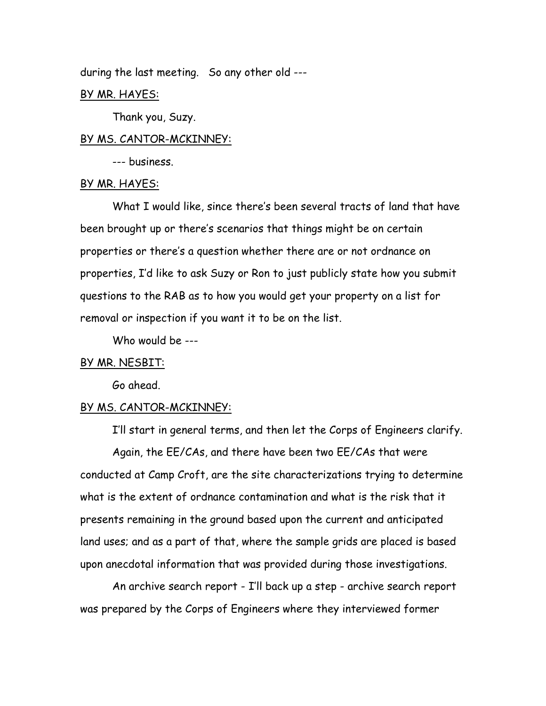during the last meeting. So any other old ---

### BY MR. HAYES:

Thank you, Suzy.

### BY MS. CANTOR-MCKINNEY:

--- business.

### BY MR. HAYES:

What I would like, since there's been several tracts of land that have been brought up or there's scenarios that things might be on certain properties or there's a question whether there are or not ordnance on properties, I'd like to ask Suzy or Ron to just publicly state how you submit questions to the RAB as to how you would get your property on a list for removal or inspection if you want it to be on the list.

Who would be ---

### BY MR. NESBIT:

Go ahead.

### BY MS. CANTOR-MCKINNEY:

I'll start in general terms, and then let the Corps of Engineers clarify. Again, the EE/CAs, and there have been two EE/CAs that were conducted at Camp Croft, are the site characterizations trying to determine what is the extent of ordnance contamination and what is the risk that it presents remaining in the ground based upon the current and anticipated land uses; and as a part of that, where the sample grids are placed is based upon anecdotal information that was provided during those investigations.

An archive search report - I'll back up a step - archive search report was prepared by the Corps of Engineers where they interviewed former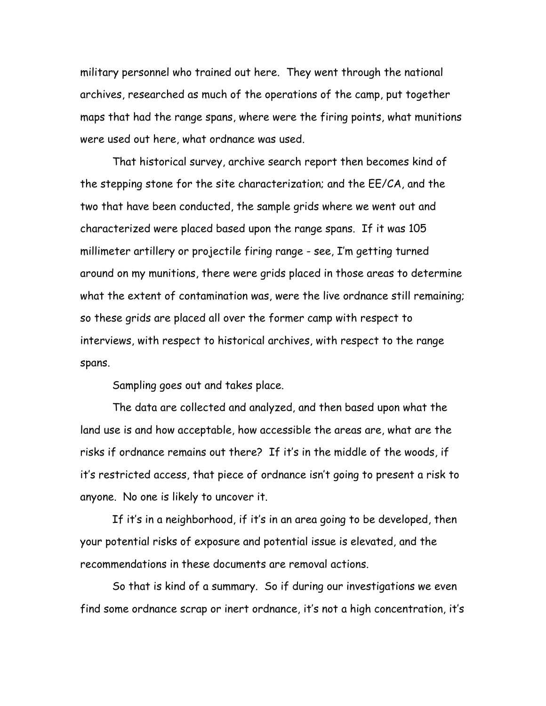military personnel who trained out here. They went through the national archives, researched as much of the operations of the camp, put together maps that had the range spans, where were the firing points, what munitions were used out here, what ordnance was used.

That historical survey, archive search report then becomes kind of the stepping stone for the site characterization; and the EE/CA, and the two that have been conducted, the sample grids where we went out and characterized were placed based upon the range spans. If it was 105 millimeter artillery or projectile firing range - see, I'm getting turned around on my munitions, there were grids placed in those areas to determine what the extent of contamination was, were the live ordnance still remaining; so these grids are placed all over the former camp with respect to interviews, with respect to historical archives, with respect to the range spans.

Sampling goes out and takes place.

The data are collected and analyzed, and then based upon what the land use is and how acceptable, how accessible the areas are, what are the risks if ordnance remains out there? If it's in the middle of the woods, if it's restricted access, that piece of ordnance isn't going to present a risk to anyone. No one is likely to uncover it.

If it's in a neighborhood, if it's in an area going to be developed, then your potential risks of exposure and potential issue is elevated, and the recommendations in these documents are removal actions.

So that is kind of a summary. So if during our investigations we even find some ordnance scrap or inert ordnance, it's not a high concentration, it's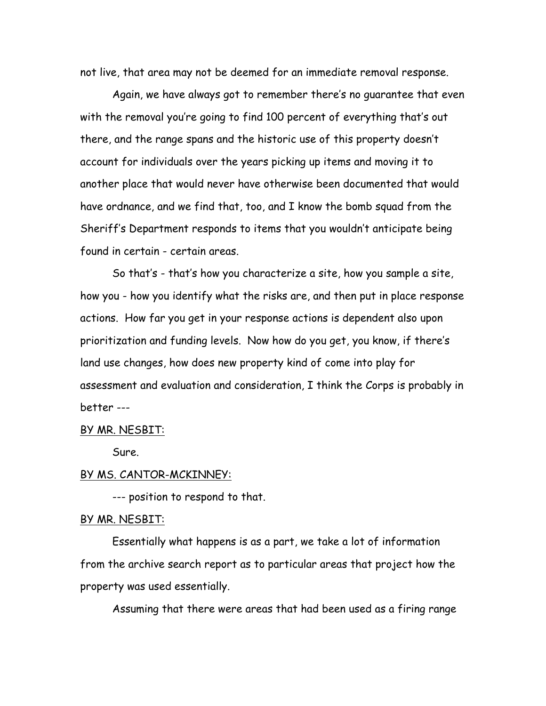not live, that area may not be deemed for an immediate removal response.

Again, we have always got to remember there's no guarantee that even with the removal you're going to find 100 percent of everything that's out there, and the range spans and the historic use of this property doesn't account for individuals over the years picking up items and moving it to another place that would never have otherwise been documented that would have ordnance, and we find that, too, and I know the bomb squad from the Sheriff's Department responds to items that you wouldn't anticipate being found in certain - certain areas.

So that's - that's how you characterize a site, how you sample a site, how you - how you identify what the risks are, and then put in place response actions. How far you get in your response actions is dependent also upon prioritization and funding levels. Now how do you get, you know, if there's land use changes, how does new property kind of come into play for assessment and evaluation and consideration, I think the Corps is probably in better ---

### BY MR. NESBIT:

Sure.

### BY MS. CANTOR-MCKINNEY:

--- position to respond to that.

### BY MR. NESBIT:

Essentially what happens is as a part, we take a lot of information from the archive search report as to particular areas that project how the property was used essentially.

Assuming that there were areas that had been used as a firing range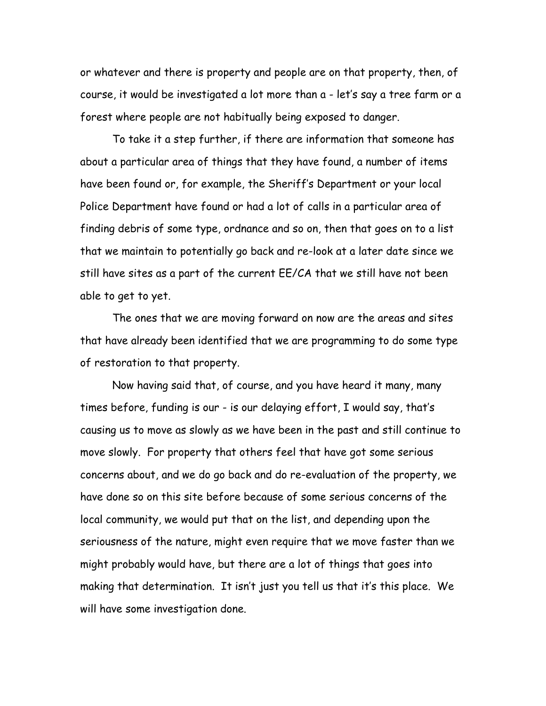or whatever and there is property and people are on that property, then, of course, it would be investigated a lot more than a - let's say a tree farm or a forest where people are not habitually being exposed to danger.

To take it a step further, if there are information that someone has about a particular area of things that they have found, a number of items have been found or, for example, the Sheriff's Department or your local Police Department have found or had a lot of calls in a particular area of finding debris of some type, ordnance and so on, then that goes on to a list that we maintain to potentially go back and re-look at a later date since we still have sites as a part of the current EE/CA that we still have not been able to get to yet.

The ones that we are moving forward on now are the areas and sites that have already been identified that we are programming to do some type of restoration to that property.

Now having said that, of course, and you have heard it many, many times before, funding is our - is our delaying effort, I would say, that's causing us to move as slowly as we have been in the past and still continue to move slowly. For property that others feel that have got some serious concerns about, and we do go back and do re-evaluation of the property, we have done so on this site before because of some serious concerns of the local community, we would put that on the list, and depending upon the seriousness of the nature, might even require that we move faster than we might probably would have, but there are a lot of things that goes into making that determination. It isn't just you tell us that it's this place. We will have some investigation done.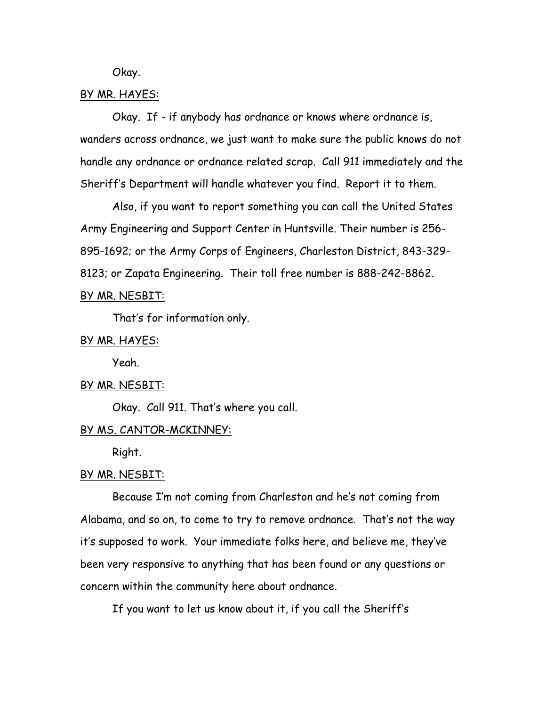Okay.

### BY MR. HAYES:

Okay. If - if anybody has ordnance or knows where ordnance is, wanders across ordnance, we just want to make sure the public knows do not handle any ordnance or ordnance related scrap. Call 911 immediately and the Sheriff's Department will handle whatever you find. Report it to them.

Also, if you want to report something you can call the United States Army Engineering and Support Center in Huntsville. Their number is 256- 895-1692; or the Army Corps of Engineers, Charleston District, 843-329- 8123; or Zapata Engineering. Their toll free number is 888-242-8862.

# BY MR. NESBIT:

That's for information only.

# BY MR. HAYES:

Yeah.

#### BY MR. NESBIT:

Okay. Call 911. That's where you call.

### BY MS. CANTOR-MCKINNEY:

Right.

#### BY MR. NESBIT:

Because I'm not coming from Charleston and he's not coming from Alabama, and so on, to come to try to remove ordnance. That's not the way it's supposed to work. Your immediate folks here, and believe me, they've been very responsive to anything that has been found or any questions or concern within the community here about ordnance.

If you want to let us know about it, if you call the Sheriff's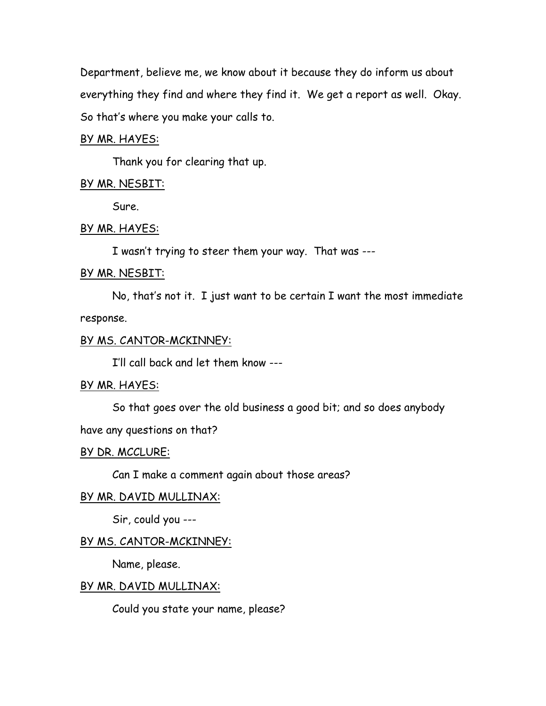Department, believe me, we know about it because they do inform us about everything they find and where they find it. We get a report as well. Okay. So that's where you make your calls to.

### BY MR. HAYES:

Thank you for clearing that up.

### BY MR. NESBIT:

Sure.

### BY MR. HAYES:

I wasn't trying to steer them your way. That was ---

# BY MR. NESBIT:

No, that's not it. I just want to be certain I want the most immediate response.

### BY MS. CANTOR-MCKINNEY:

I'll call back and let them know ---

# BY MR. HAYES:

So that goes over the old business a good bit; and so does anybody

# have any questions on that?

### BY DR. MCCLURE:

Can I make a comment again about those areas?

# BY MR. DAVID MULLINAX:

Sir, could you ---

### BY MS. CANTOR-MCKINNEY:

Name, please.

### BY MR. DAVID MULLINAX:

Could you state your name, please?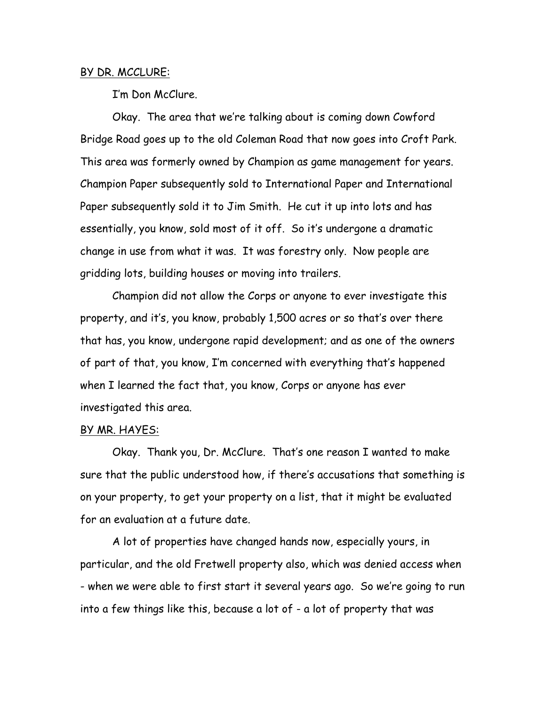### BY DR. MCCLURE:

I'm Don McClure.

Okay. The area that we're talking about is coming down Cowford Bridge Road goes up to the old Coleman Road that now goes into Croft Park. This area was formerly owned by Champion as game management for years. Champion Paper subsequently sold to International Paper and International Paper subsequently sold it to Jim Smith. He cut it up into lots and has essentially, you know, sold most of it off. So it's undergone a dramatic change in use from what it was. It was forestry only. Now people are gridding lots, building houses or moving into trailers.

Champion did not allow the Corps or anyone to ever investigate this property, and it's, you know, probably 1,500 acres or so that's over there that has, you know, undergone rapid development; and as one of the owners of part of that, you know, I'm concerned with everything that's happened when I learned the fact that, you know, Corps or anyone has ever investigated this area.

# BY MR. HAYES:

Okay. Thank you, Dr. McClure. That's one reason I wanted to make sure that the public understood how, if there's accusations that something is on your property, to get your property on a list, that it might be evaluated for an evaluation at a future date.

A lot of properties have changed hands now, especially yours, in particular, and the old Fretwell property also, which was denied access when - when we were able to first start it several years ago. So we're going to run into a few things like this, because a lot of - a lot of property that was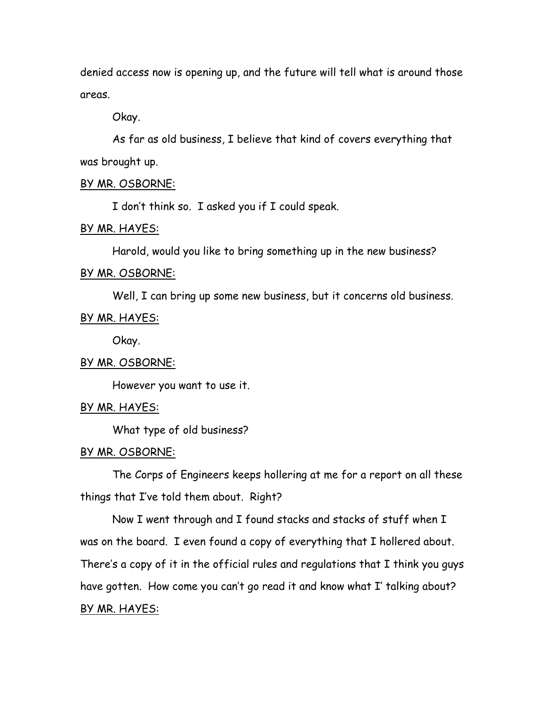denied access now is opening up, and the future will tell what is around those areas.

Okay.

As far as old business, I believe that kind of covers everything that was brought up.

### BY MR. OSBORNE:

I don't think so. I asked you if I could speak.

# BY MR. HAYES:

Harold, would you like to bring something up in the new business?

### BY MR. OSBORNE:

Well, I can bring up some new business, but it concerns old business.

# BY MR. HAYES:

Okay.

# BY MR. OSBORNE:

However you want to use it.

### BY MR. HAYES:

What type of old business?

### BY MR. OSBORNE:

The Corps of Engineers keeps hollering at me for a report on all these things that I've told them about. Right?

Now I went through and I found stacks and stacks of stuff when I was on the board. I even found a copy of everything that I hollered about. There's a copy of it in the official rules and regulations that I think you guys have gotten. How come you can't go read it and know what I' talking about? BY MR. HAYES: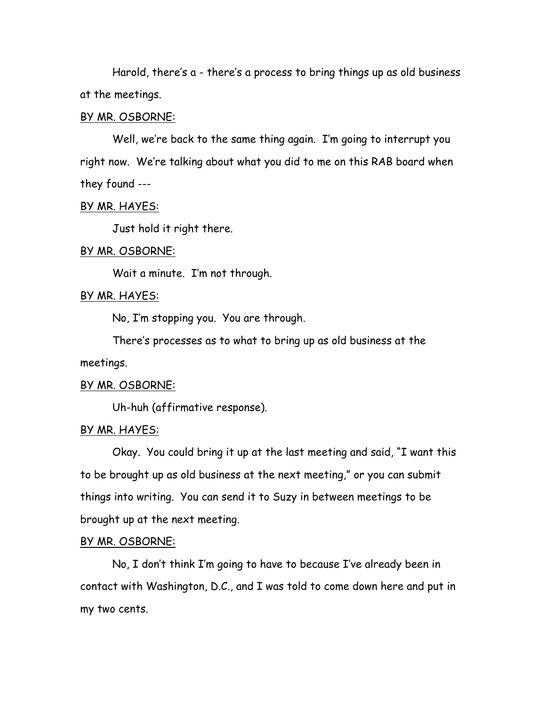Harold, there's a - there's a process to bring things up as old business at the meetings.

### BY MR. OSBORNE:

Well, we're back to the same thing again. I'm going to interrupt you right now. We're talking about what you did to me on this RAB board when they found ---

# BY MR. HAYES:

Just hold it right there.

# BY MR. OSBORNE:

Wait a minute. I'm not through.

# BY MR. HAYES:

No, I'm stopping you. You are through.

There's processes as to what to bring up as old business at the meetings.

### BY MR. OSBORNE:

Uh-huh (affirmative response).

### BY MR. HAYES:

Okay. You could bring it up at the last meeting and said, "I want this to be brought up as old business at the next meeting," or you can submit things into writing. You can send it to Suzy in between meetings to be brought up at the next meeting.

### BY MR. OSBORNE:

No, I don't think I'm going to have to because I've already been in contact with Washington, D.C., and I was told to come down here and put in my two cents.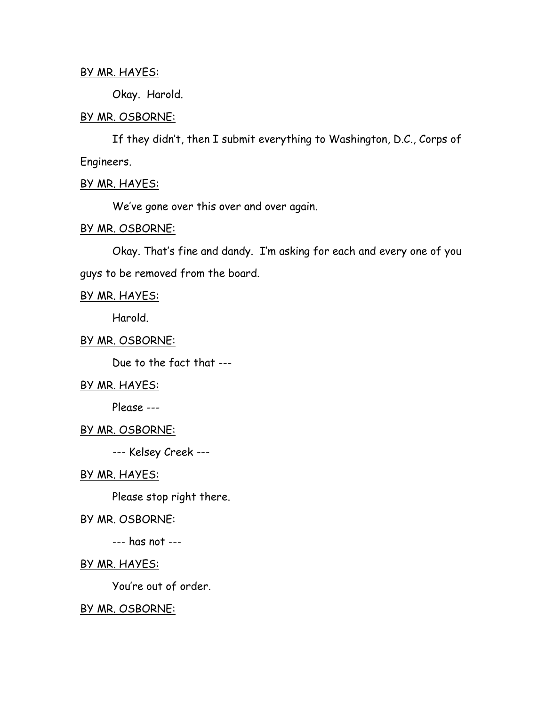# BY MR. HAYES:

Okay. Harold.

# BY MR. OSBORNE:

If they didn't, then I submit everything to Washington, D.C., Corps of Engineers.

# BY MR. HAYES:

We've gone over this over and over again.

# BY MR. OSBORNE:

Okay. That's fine and dandy. I'm asking for each and every one of you guys to be removed from the board.

# BY MR. HAYES:

Harold.

# BY MR. OSBORNE:

Due to the fact that ---

# BY MR. HAYES:

Please ---

# BY MR. OSBORNE:

--- Kelsey Creek ---

# BY MR. HAYES:

Please stop right there.

# BY MR. OSBORNE:

--- has not ---

# BY MR. HAYES:

You're out of order.

# BY MR. OSBORNE: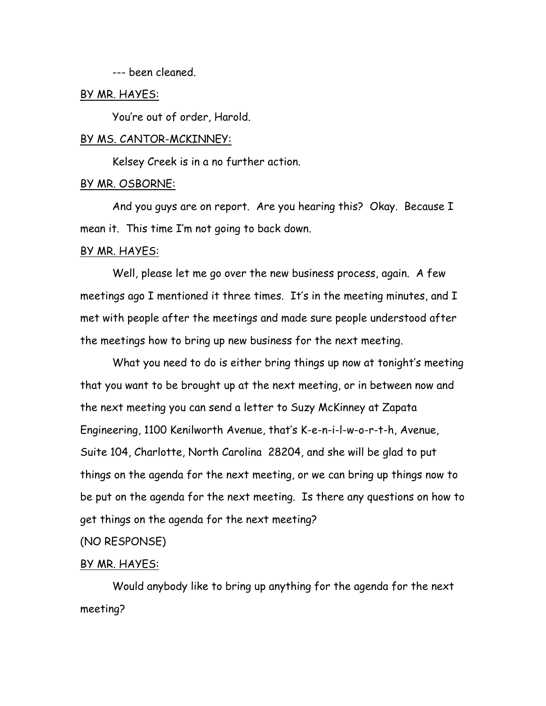--- been cleaned.

### BY MR. HAYES:

You're out of order, Harold.

### BY MS. CANTOR-MCKINNEY:

Kelsey Creek is in a no further action.

### BY MR. OSBORNE:

And you guys are on report. Are you hearing this? Okay. Because I mean it. This time I'm not going to back down.

#### BY MR. HAYES:

Well, please let me go over the new business process, again. A few meetings ago I mentioned it three times. It's in the meeting minutes, and I met with people after the meetings and made sure people understood after the meetings how to bring up new business for the next meeting.

What you need to do is either bring things up now at tonight's meeting that you want to be brought up at the next meeting, or in between now and the next meeting you can send a letter to Suzy McKinney at Zapata Engineering, 1100 Kenilworth Avenue, that's K-e-n-i-l-w-o-r-t-h, Avenue, Suite 104, Charlotte, North Carolina 28204, and she will be glad to put things on the agenda for the next meeting, or we can bring up things now to be put on the agenda for the next meeting. Is there any questions on how to get things on the agenda for the next meeting?

### (NO RESPONSE)

#### BY MR. HAYES:

Would anybody like to bring up anything for the agenda for the next meeting?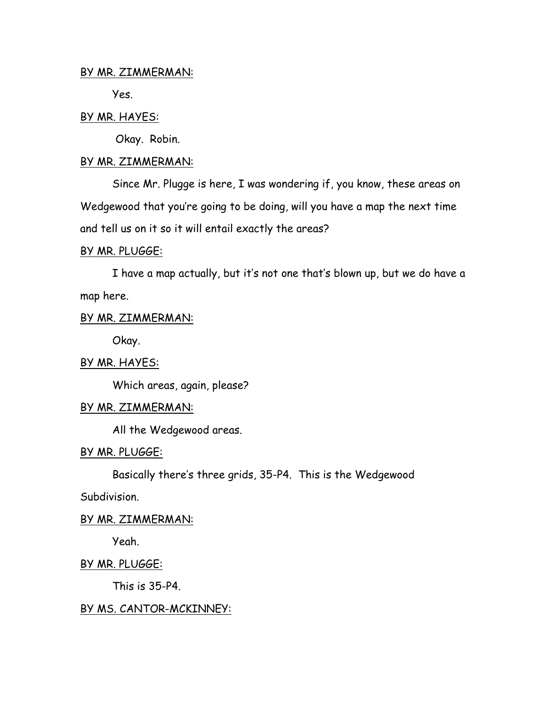# BY MR. ZIMMERMAN:

Yes.

# BY MR. HAYES:

Okay. Robin.

# BY MR. ZIMMERMAN:

Since Mr. Plugge is here, I was wondering if, you know, these areas on Wedgewood that you're going to be doing, will you have a map the next time and tell us on it so it will entail exactly the areas?

# BY MR. PLUGGE:

I have a map actually, but it's not one that's blown up, but we do have a map here.

# BY MR. ZIMMERMAN:

Okay.

# BY MR. HAYES:

Which areas, again, please?

# BY MR. ZIMMERMAN:

All the Wedgewood areas.

# BY MR. PLUGGE:

Basically there's three grids, 35-P4. This is the Wedgewood

Subdivision.

# BY MR. ZIMMERMAN:

Yeah.

BY MR. PLUGGE:

This is 35-P4.

# BY MS. CANTOR-MCKINNEY: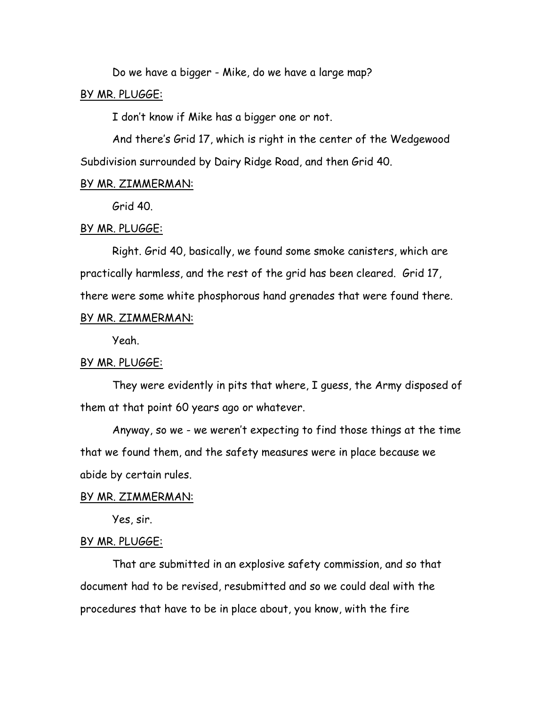Do we have a bigger - Mike, do we have a large map?

### BY MR. PLUGGE:

I don't know if Mike has a bigger one or not.

And there's Grid 17, which is right in the center of the Wedgewood Subdivision surrounded by Dairy Ridge Road, and then Grid 40.

### BY MR. ZIMMERMAN:

Grid 40.

### BY MR. PLUGGE:

Right. Grid 40, basically, we found some smoke canisters, which are practically harmless, and the rest of the grid has been cleared. Grid 17, there were some white phosphorous hand grenades that were found there.

# BY MR. ZIMMERMAN:

Yeah.

### BY MR. PLUGGE:

They were evidently in pits that where, I guess, the Army disposed of them at that point 60 years ago or whatever.

Anyway, so we - we weren't expecting to find those things at the time that we found them, and the safety measures were in place because we abide by certain rules.

### BY MR. ZIMMERMAN:

Yes, sir.

### BY MR. PLUGGE:

That are submitted in an explosive safety commission, and so that document had to be revised, resubmitted and so we could deal with the procedures that have to be in place about, you know, with the fire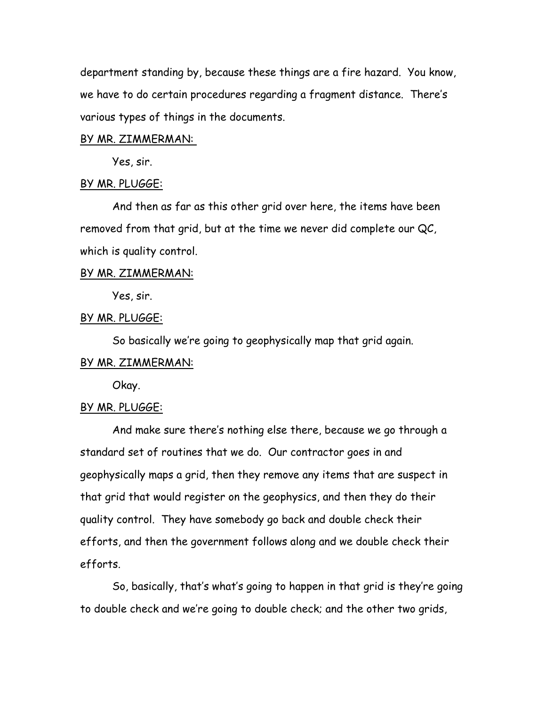department standing by, because these things are a fire hazard. You know, we have to do certain procedures regarding a fragment distance. There's various types of things in the documents.

### BY MR. ZIMMERMAN:

Yes, sir.

### BY MR. PLUGGE:

And then as far as this other grid over here, the items have been removed from that grid, but at the time we never did complete our QC, which is quality control.

### BY MR. ZIMMERMAN:

Yes, sir.

# BY MR. PLUGGE:

So basically we're going to geophysically map that grid again.

### BY MR. ZIMMERMAN:

Okay.

### BY MR. PLUGGE:

And make sure there's nothing else there, because we go through a standard set of routines that we do. Our contractor goes in and geophysically maps a grid, then they remove any items that are suspect in that grid that would register on the geophysics, and then they do their quality control. They have somebody go back and double check their efforts, and then the government follows along and we double check their efforts.

So, basically, that's what's going to happen in that grid is they're going to double check and we're going to double check; and the other two grids,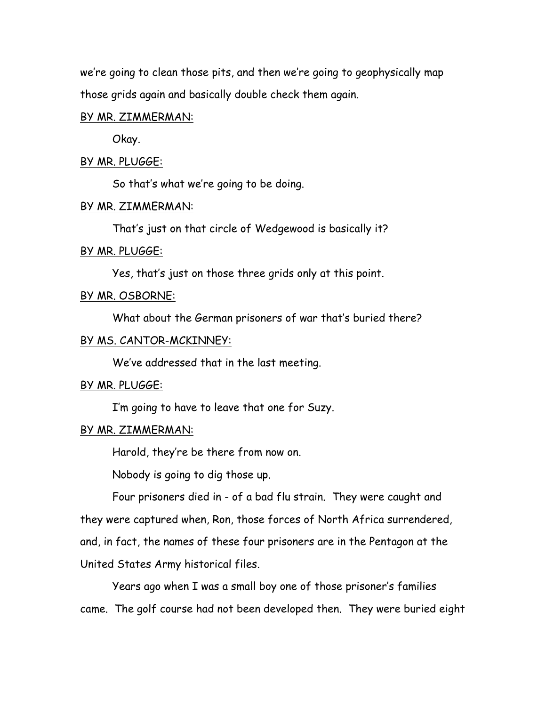we're going to clean those pits, and then we're going to geophysically map those grids again and basically double check them again.

# BY MR. ZIMMERMAN:

Okay.

# BY MR. PLUGGE:

So that's what we're going to be doing.

### BY MR. ZIMMERMAN:

That's just on that circle of Wedgewood is basically it?

# BY MR. PLUGGE:

Yes, that's just on those three grids only at this point.

# BY MR. OSBORNE:

What about the German prisoners of war that's buried there?

# BY MS. CANTOR-MCKINNEY:

We've addressed that in the last meeting.

# BY MR. PLUGGE:

I'm going to have to leave that one for Suzy.

# BY MR. ZIMMERMAN:

Harold, they're be there from now on.

Nobody is going to dig those up.

Four prisoners died in - of a bad flu strain. They were caught and they were captured when, Ron, those forces of North Africa surrendered, and, in fact, the names of these four prisoners are in the Pentagon at the United States Army historical files.

Years ago when I was a small boy one of those prisoner's families came. The golf course had not been developed then. They were buried eight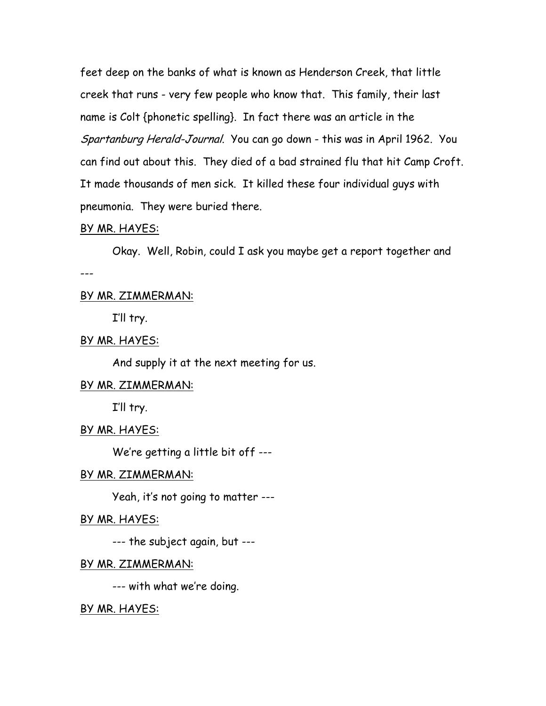feet deep on the banks of what is known as Henderson Creek, that little creek that runs - very few people who know that. This family, their last name is Colt {phonetic spelling}. In fact there was an article in the Spartanburg Herald-Journal. You can go down - this was in April 1962. You can find out about this. They died of a bad strained flu that hit Camp Croft. It made thousands of men sick. It killed these four individual guys with pneumonia. They were buried there.

### BY MR. HAYES:

Okay. Well, Robin, could I ask you maybe get a report together and ---

# BY MR. ZIMMERMAN:

I'll try.

# BY MR. HAYES:

And supply it at the next meeting for us.

### BY MR. ZIMMERMAN:

I'll try.

### BY MR. HAYES:

We're getting a little bit off ---

### BY MR. ZIMMERMAN:

Yeah, it's not going to matter ---

# BY MR. HAYES:

--- the subject again, but ---

### BY MR. ZIMMERMAN:

--- with what we're doing.

### BY MR. HAYES: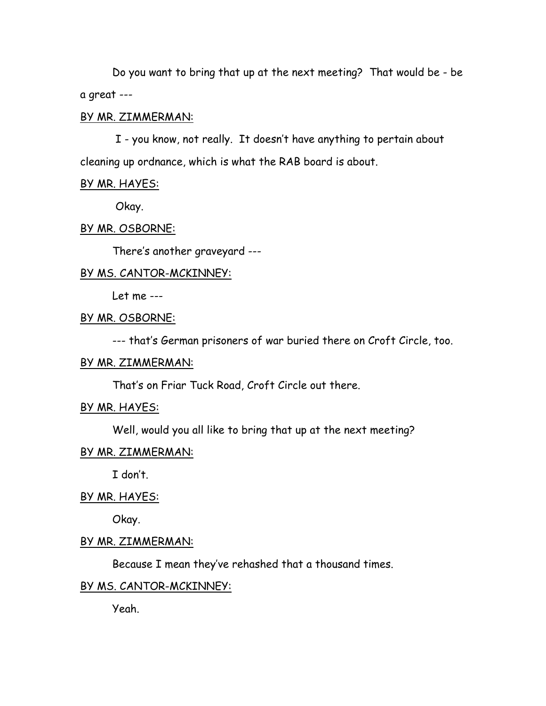Do you want to bring that up at the next meeting? That would be - be a great ---

# BY MR. ZIMMERMAN:

 I - you know, not really. It doesn't have anything to pertain about cleaning up ordnance, which is what the RAB board is about.

### BY MR. HAYES:

Okay.

### BY MR. OSBORNE:

There's another graveyard ---

### BY MS. CANTOR-MCKINNEY:

Let me ---

# BY MR. OSBORNE:

--- that's German prisoners of war buried there on Croft Circle, too.

# BY MR. ZIMMERMAN:

That's on Friar Tuck Road, Croft Circle out there.

### BY MR. HAYES:

Well, would you all like to bring that up at the next meeting?

### BY MR. ZIMMERMAN:

I don't.

### BY MR. HAYES:

Okay.

### BY MR. ZIMMERMAN:

Because I mean they've rehashed that a thousand times.

# BY MS. CANTOR-MCKINNEY:

Yeah.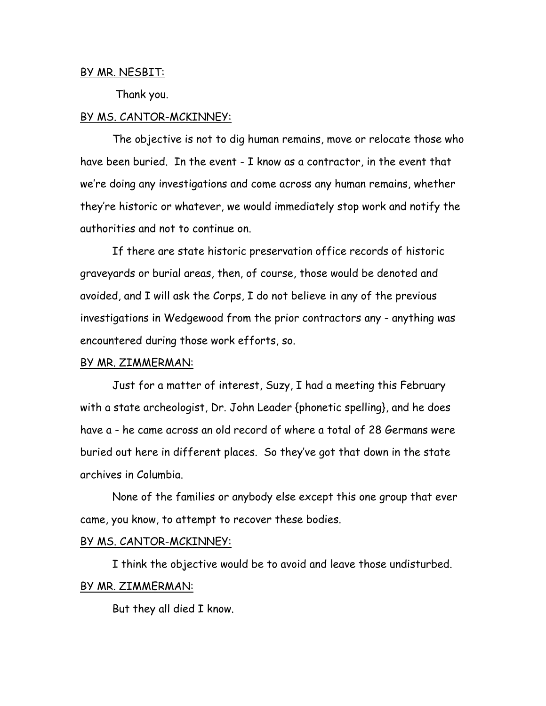### BY MR. NESBIT:

Thank you.

### BY MS. CANTOR-MCKINNEY:

The objective is not to dig human remains, move or relocate those who have been buried. In the event - I know as a contractor, in the event that we're doing any investigations and come across any human remains, whether they're historic or whatever, we would immediately stop work and notify the authorities and not to continue on.

If there are state historic preservation office records of historic graveyards or burial areas, then, of course, those would be denoted and avoided, and I will ask the Corps, I do not believe in any of the previous investigations in Wedgewood from the prior contractors any - anything was encountered during those work efforts, so.

### BY MR. ZIMMERMAN:

Just for a matter of interest, Suzy, I had a meeting this February with a state archeologist, Dr. John Leader {phonetic spelling}, and he does have a - he came across an old record of where a total of 28 Germans were buried out here in different places. So they've got that down in the state archives in Columbia.

None of the families or anybody else except this one group that ever came, you know, to attempt to recover these bodies.

### BY MS. CANTOR-MCKINNEY:

I think the objective would be to avoid and leave those undisturbed. BY MR. ZIMMERMAN:

But they all died I know.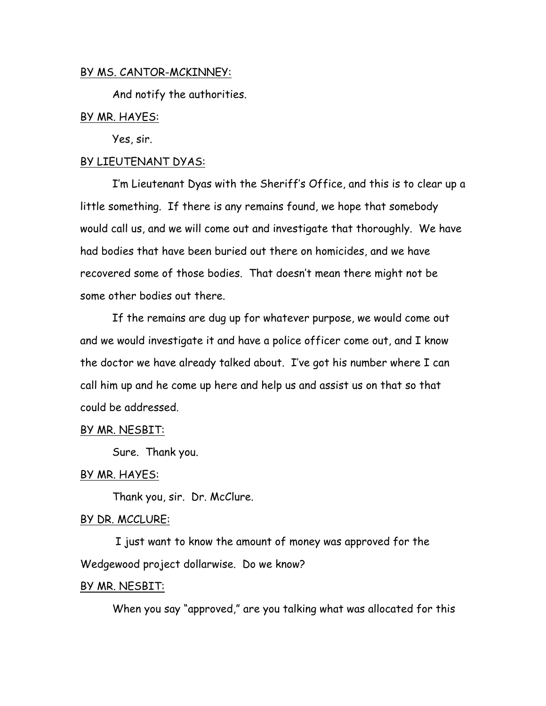# BY MS. CANTOR-MCKINNEY:

And notify the authorities.

# BY MR. HAYES:

Yes, sir.

# BY LIEUTENANT DYAS:

I'm Lieutenant Dyas with the Sheriff's Office, and this is to clear up a little something. If there is any remains found, we hope that somebody would call us, and we will come out and investigate that thoroughly. We have had bodies that have been buried out there on homicides, and we have recovered some of those bodies. That doesn't mean there might not be some other bodies out there.

If the remains are dug up for whatever purpose, we would come out and we would investigate it and have a police officer come out, and I know the doctor we have already talked about. I've got his number where I can call him up and he come up here and help us and assist us on that so that could be addressed.

# BY MR. NESBIT:

Sure. Thank you.

# BY MR. HAYES:

Thank you, sir. Dr. McClure.

# BY DR. MCCLURE:

 I just want to know the amount of money was approved for the Wedgewood project dollarwise. Do we know?

### BY MR. NESBIT:

When you say "approved," are you talking what was allocated for this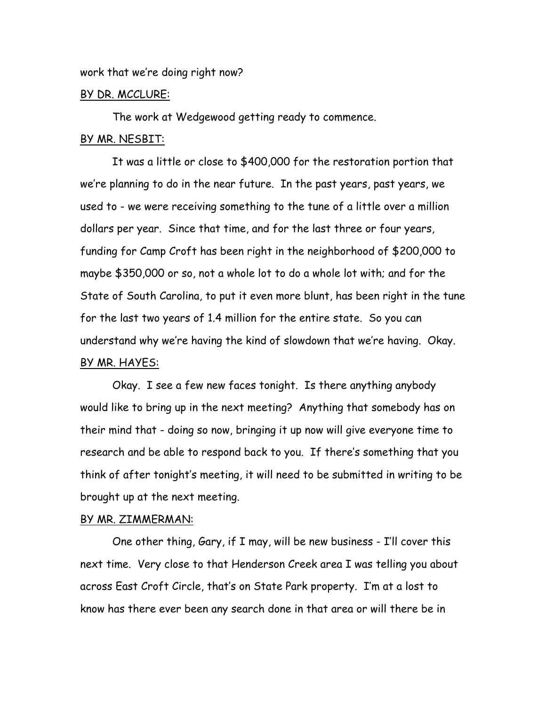work that we're doing right now?

### BY DR. MCCLURE:

The work at Wedgewood getting ready to commence.

# BY MR. NESBIT:

It was a little or close to \$400,000 for the restoration portion that we're planning to do in the near future. In the past years, past years, we used to - we were receiving something to the tune of a little over a million dollars per year. Since that time, and for the last three or four years, funding for Camp Croft has been right in the neighborhood of \$200,000 to maybe \$350,000 or so, not a whole lot to do a whole lot with; and for the State of South Carolina, to put it even more blunt, has been right in the tune for the last two years of 1.4 million for the entire state. So you can understand why we're having the kind of slowdown that we're having. Okay. BY MR. HAYES:

Okay. I see a few new faces tonight. Is there anything anybody would like to bring up in the next meeting? Anything that somebody has on their mind that - doing so now, bringing it up now will give everyone time to research and be able to respond back to you. If there's something that you think of after tonight's meeting, it will need to be submitted in writing to be brought up at the next meeting.

### BY MR. ZIMMERMAN:

One other thing, Gary, if I may, will be new business - I'll cover this next time. Very close to that Henderson Creek area I was telling you about across East Croft Circle, that's on State Park property. I'm at a lost to know has there ever been any search done in that area or will there be in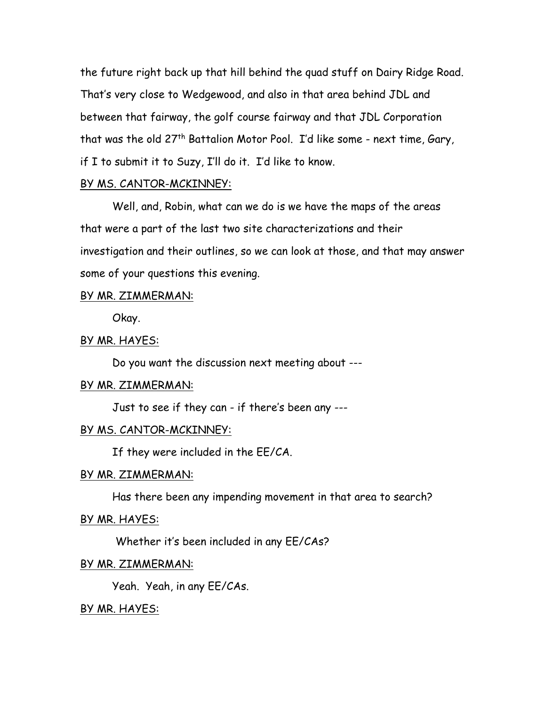the future right back up that hill behind the quad stuff on Dairy Ridge Road. That's very close to Wedgewood, and also in that area behind JDL and between that fairway, the golf course fairway and that JDL Corporation that was the old 27<sup>th</sup> Battalion Motor Pool. I'd like some - next time, Gary, if I to submit it to Suzy, I'll do it. I'd like to know.

# BY MS. CANTOR-MCKINNEY:

Well, and, Robin, what can we do is we have the maps of the areas that were a part of the last two site characterizations and their investigation and their outlines, so we can look at those, and that may answer some of your questions this evening.

### BY MR. ZIMMERMAN:

Okay.

### BY MR. HAYES:

Do you want the discussion next meeting about ---

# BY MR. ZIMMERMAN:

Just to see if they can - if there's been any ---

# BY MS. CANTOR-MCKINNEY:

If they were included in the EE/CA.

### BY MR. ZIMMERMAN:

Has there been any impending movement in that area to search?

### BY MR. HAYES:

Whether it's been included in any EE/CAs?

### BY MR. ZIMMERMAN:

Yeah. Yeah, in any EE/CAs.

### BY MR. HAYES: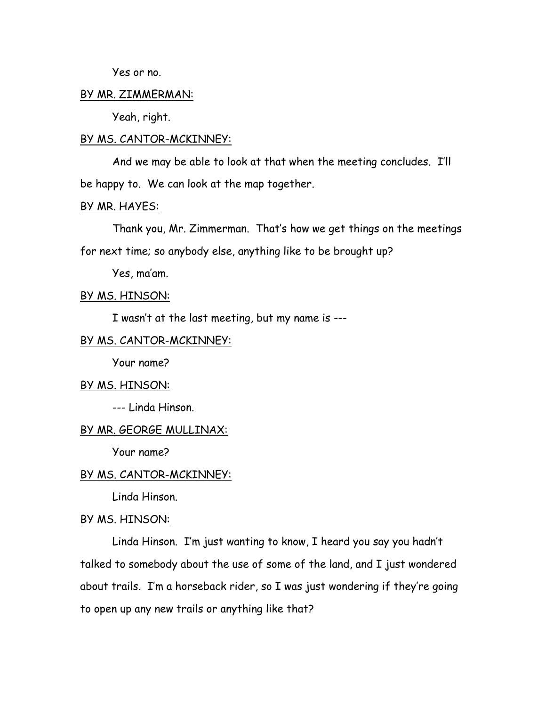Yes or no.

### BY MR. ZIMMERMAN:

Yeah, right.

#### BY MS. CANTOR-MCKINNEY:

And we may be able to look at that when the meeting concludes. I'll be happy to. We can look at the map together.

# BY MR. HAYES:

Thank you, Mr. Zimmerman. That's how we get things on the meetings for next time; so anybody else, anything like to be brought up?

Yes, ma'am.

### BY MS. HINSON:

I wasn't at the last meeting, but my name is ---

# BY MS. CANTOR-MCKINNEY:

Your name?

### BY MS. HINSON:

--- Linda Hinson.

# BY MR. GEORGE MULLINAX:

Your name?

### BY MS. CANTOR-MCKINNEY:

Linda Hinson.

### BY MS. HINSON:

Linda Hinson. I'm just wanting to know, I heard you say you hadn't talked to somebody about the use of some of the land, and I just wondered about trails. I'm a horseback rider, so I was just wondering if they're going to open up any new trails or anything like that?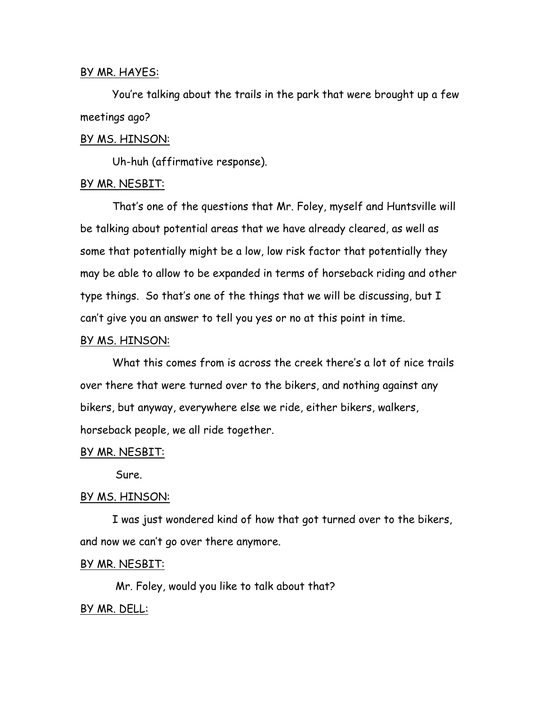### BY MR. HAYES:

You're talking about the trails in the park that were brought up a few meetings ago?

### BY MS. HINSON:

Uh-huh (affirmative response).

### BY MR. NESBIT:

That's one of the questions that Mr. Foley, myself and Huntsville will be talking about potential areas that we have already cleared, as well as some that potentially might be a low, low risk factor that potentially they may be able to allow to be expanded in terms of horseback riding and other type things. So that's one of the things that we will be discussing, but I can't give you an answer to tell you yes or no at this point in time.

### BY MS. HINSON:

What this comes from is across the creek there's a lot of nice trails over there that were turned over to the bikers, and nothing against any bikers, but anyway, everywhere else we ride, either bikers, walkers, horseback people, we all ride together.

### BY MR. NESBIT:

Sure.

### BY MS. HINSON:

I was just wondered kind of how that got turned over to the bikers, and now we can't go over there anymore.

### BY MR. NESBIT:

Mr. Foley, would you like to talk about that?

# BY MR. DELL: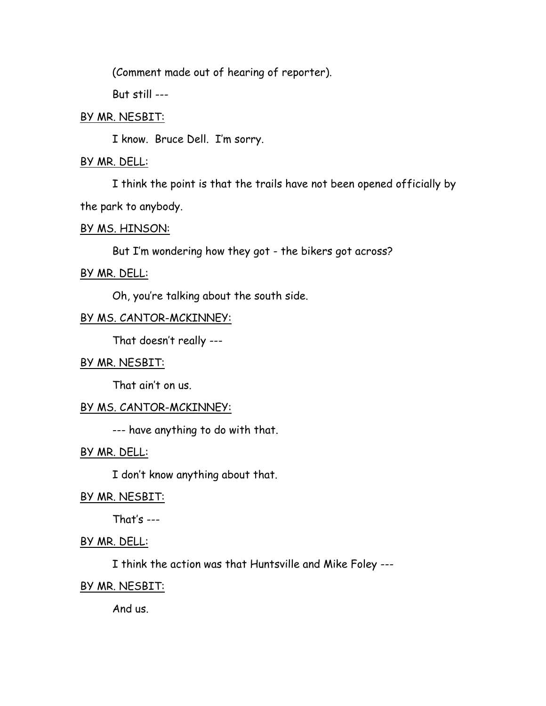(Comment made out of hearing of reporter).

But still ---

# BY MR. NESBIT:

I know. Bruce Dell. I'm sorry.

# BY MR. DELL:

I think the point is that the trails have not been opened officially by the park to anybody.

# BY MS. HINSON:

But I'm wondering how they got - the bikers got across?

BY MR. DELL:

Oh, you're talking about the south side.

# BY MS. CANTOR-MCKINNEY:

That doesn't really ---

# BY MR. NESBIT:

That ain't on us.

# BY MS. CANTOR-MCKINNEY:

--- have anything to do with that.

# BY MR. DELL:

I don't know anything about that.

# BY MR. NESBIT:

That's  $---$ 

# BY MR. DELL:

I think the action was that Huntsville and Mike Foley ---

# BY MR. NESBIT:

And us.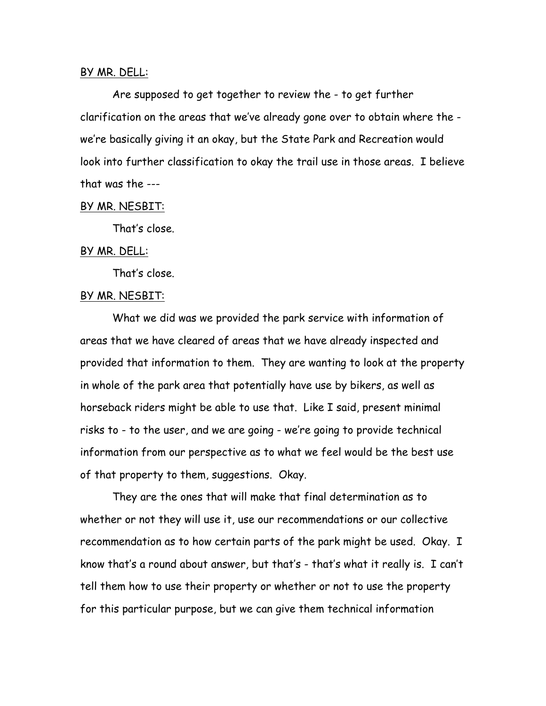### BY MR. DELL:

Are supposed to get together to review the - to get further clarification on the areas that we've already gone over to obtain where the we're basically giving it an okay, but the State Park and Recreation would look into further classification to okay the trail use in those areas. I believe that was the ---

### BY MR. NESBIT:

That's close.

### BY MR. DELL:

That's close.

# BY MR. NESBIT:

What we did was we provided the park service with information of areas that we have cleared of areas that we have already inspected and provided that information to them. They are wanting to look at the property in whole of the park area that potentially have use by bikers, as well as horseback riders might be able to use that. Like I said, present minimal risks to - to the user, and we are going - we're going to provide technical information from our perspective as to what we feel would be the best use of that property to them, suggestions. Okay.

They are the ones that will make that final determination as to whether or not they will use it, use our recommendations or our collective recommendation as to how certain parts of the park might be used. Okay. I know that's a round about answer, but that's - that's what it really is. I can't tell them how to use their property or whether or not to use the property for this particular purpose, but we can give them technical information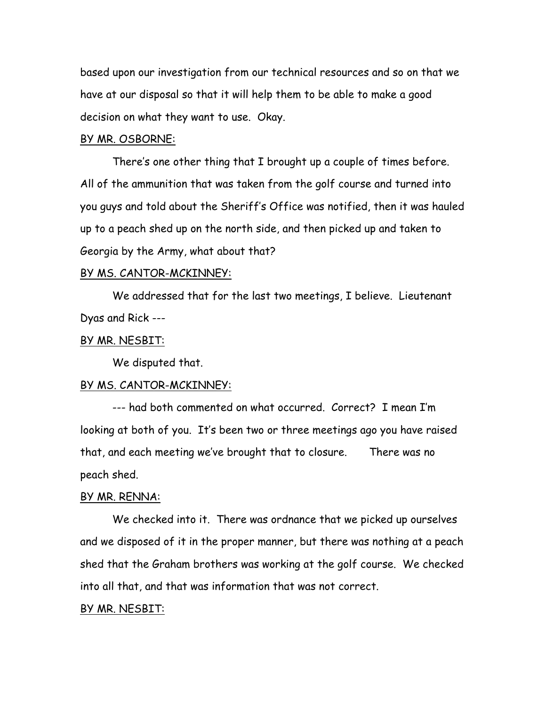based upon our investigation from our technical resources and so on that we have at our disposal so that it will help them to be able to make a good decision on what they want to use. Okay.

### BY MR. OSBORNE:

There's one other thing that I brought up a couple of times before. All of the ammunition that was taken from the golf course and turned into you guys and told about the Sheriff's Office was notified, then it was hauled up to a peach shed up on the north side, and then picked up and taken to Georgia by the Army, what about that?

#### BY MS. CANTOR-MCKINNEY:

We addressed that for the last two meetings, I believe. Lieutenant Dyas and Rick ---

### BY MR. NESBIT:

We disputed that.

#### BY MS. CANTOR-MCKINNEY:

--- had both commented on what occurred. Correct? I mean I'm looking at both of you. It's been two or three meetings ago you have raised that, and each meeting we've brought that to closure. There was no peach shed.

### BY MR. RENNA:

We checked into it. There was ordnance that we picked up ourselves and we disposed of it in the proper manner, but there was nothing at a peach shed that the Graham brothers was working at the golf course. We checked into all that, and that was information that was not correct.

#### BY MR. NESBIT: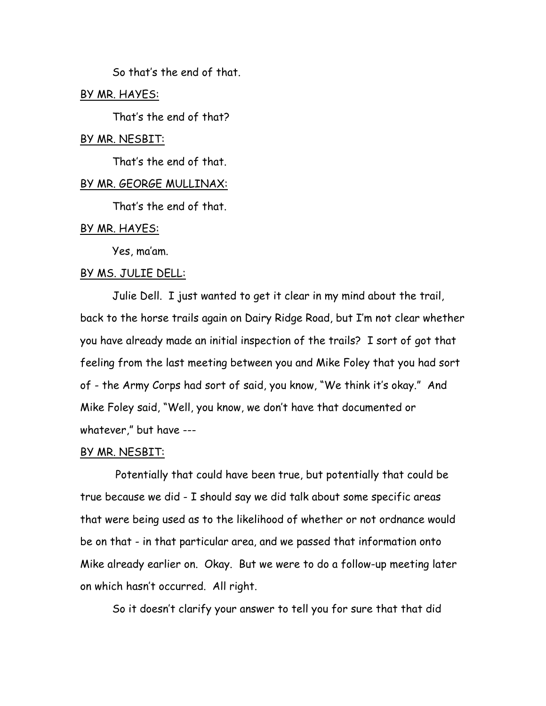So that's the end of that.

# BY MR. HAYES:

That's the end of that?

### BY MR. NESBIT:

That's the end of that.

### BY MR. GEORGE MULLINAX:

That's the end of that.

### BY MR. HAYES:

Yes, ma'am.

### BY MS. JULIE DELL:

Julie Dell. I just wanted to get it clear in my mind about the trail, back to the horse trails again on Dairy Ridge Road, but I'm not clear whether you have already made an initial inspection of the trails? I sort of got that feeling from the last meeting between you and Mike Foley that you had sort of - the Army Corps had sort of said, you know, "We think it's okay." And Mike Foley said, "Well, you know, we don't have that documented or whatever," but have ---

### BY MR. NESBIT:

 Potentially that could have been true, but potentially that could be true because we did - I should say we did talk about some specific areas that were being used as to the likelihood of whether or not ordnance would be on that - in that particular area, and we passed that information onto Mike already earlier on. Okay. But we were to do a follow-up meeting later on which hasn't occurred. All right.

So it doesn't clarify your answer to tell you for sure that that did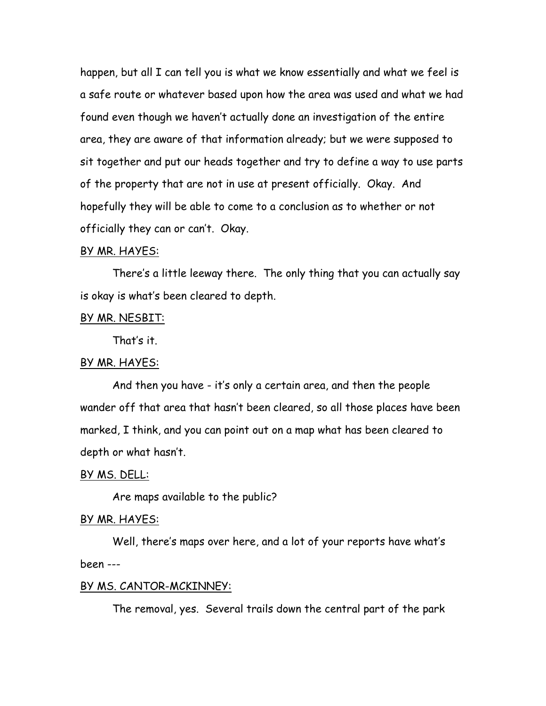happen, but all I can tell you is what we know essentially and what we feel is a safe route or whatever based upon how the area was used and what we had found even though we haven't actually done an investigation of the entire area, they are aware of that information already; but we were supposed to sit together and put our heads together and try to define a way to use parts of the property that are not in use at present officially. Okay. And hopefully they will be able to come to a conclusion as to whether or not officially they can or can't. Okay.

#### BY MR. HAYES:

There's a little leeway there. The only thing that you can actually say is okay is what's been cleared to depth.

### BY MR. NESBIT:

That's it.

# BY MR. HAYES:

And then you have - it's only a certain area, and then the people wander off that area that hasn't been cleared, so all those places have been marked, I think, and you can point out on a map what has been cleared to depth or what hasn't.

### BY MS. DELL:

Are maps available to the public?

### BY MR. HAYES:

Well, there's maps over here, and a lot of your reports have what's been ---

### BY MS. CANTOR-MCKINNEY:

The removal, yes. Several trails down the central part of the park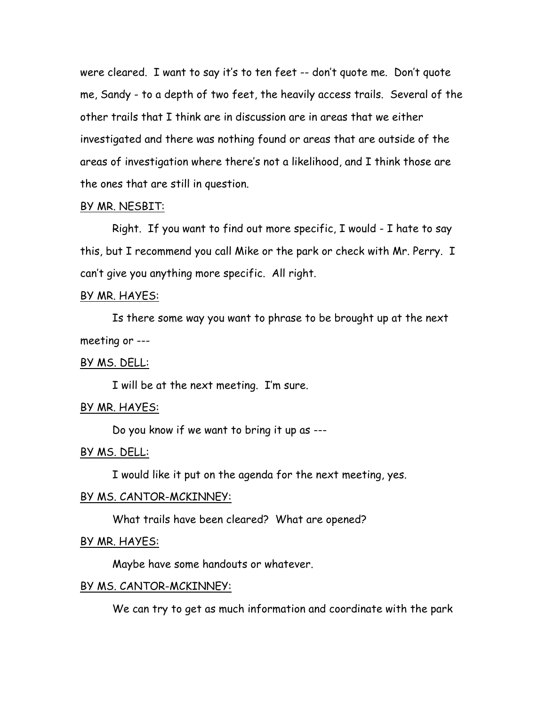were cleared. I want to say it's to ten feet -- don't quote me. Don't quote me, Sandy - to a depth of two feet, the heavily access trails. Several of the other trails that I think are in discussion are in areas that we either investigated and there was nothing found or areas that are outside of the areas of investigation where there's not a likelihood, and I think those are the ones that are still in question.

### BY MR. NESBIT:

Right. If you want to find out more specific, I would - I hate to say this, but I recommend you call Mike or the park or check with Mr. Perry. I can't give you anything more specific. All right.

### BY MR. HAYES:

Is there some way you want to phrase to be brought up at the next meeting or ---

### BY MS. DELL:

I will be at the next meeting. I'm sure.

### BY MR. HAYES:

Do you know if we want to bring it up as ---

### BY MS. DELL:

I would like it put on the agenda for the next meeting, yes.

### BY MS. CANTOR-MCKINNEY:

What trails have been cleared? What are opened?

### BY MR. HAYES:

Maybe have some handouts or whatever.

### BY MS. CANTOR-MCKINNEY:

We can try to get as much information and coordinate with the park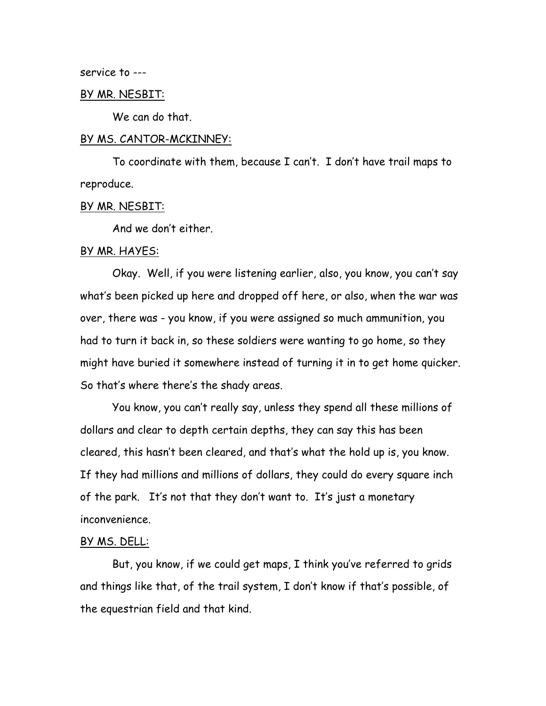service to ---

#### BY MR. NESBIT:

We can do that.

#### BY MS. CANTOR-MCKINNEY:

To coordinate with them, because I can't. I don't have trail maps to reproduce.

### BY MR. NESBIT:

And we don't either.

### BY MR. HAYES:

Okay. Well, if you were listening earlier, also, you know, you can't say what's been picked up here and dropped off here, or also, when the war was over, there was - you know, if you were assigned so much ammunition, you had to turn it back in, so these soldiers were wanting to go home, so they might have buried it somewhere instead of turning it in to get home quicker. So that's where there's the shady areas.

You know, you can't really say, unless they spend all these millions of dollars and clear to depth certain depths, they can say this has been cleared, this hasn't been cleared, and that's what the hold up is, you know. If they had millions and millions of dollars, they could do every square inch of the park. It's not that they don't want to. It's just a monetary inconvenience.

### BY MS. DELL:

But, you know, if we could get maps, I think you've referred to grids and things like that, of the trail system, I don't know if that's possible, of the equestrian field and that kind.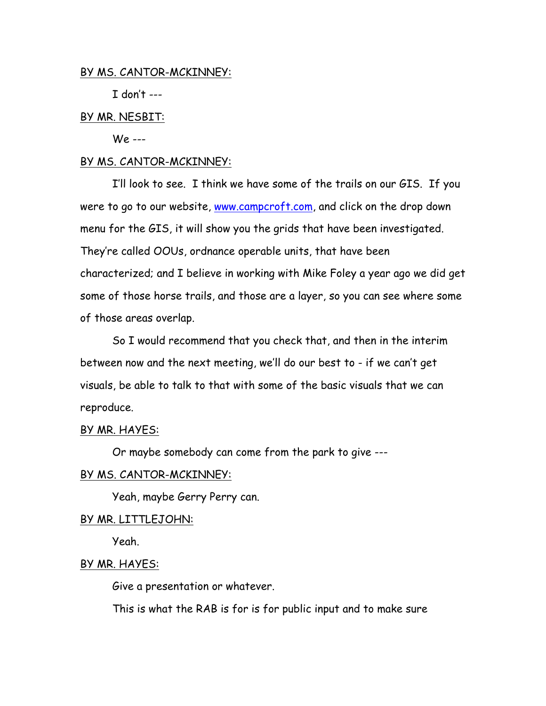# BY MS. CANTOR-MCKINNEY:

 $I$  don't ---

# BY MR. NESBIT:

We ---

# BY MS. CANTOR-MCKINNEY:

I'll look to see. I think we have some of the trails on our GIS. If you were to go to our website, www.campcroft.com, and click on the drop down menu for the GIS, it will show you the grids that have been investigated. They're called OOUs, ordnance operable units, that have been characterized; and I believe in working with Mike Foley a year ago we did get some of those horse trails, and those are a layer, so you can see where some of those areas overlap.

So I would recommend that you check that, and then in the interim between now and the next meeting, we'll do our best to - if we can't get visuals, be able to talk to that with some of the basic visuals that we can reproduce.

# BY MR. HAYES:

Or maybe somebody can come from the park to give ---

# BY MS. CANTOR-MCKINNEY:

Yeah, maybe Gerry Perry can.

# BY MR. LITTLEJOHN:

Yeah.

# BY MR. HAYES:

Give a presentation or whatever.

This is what the RAB is for is for public input and to make sure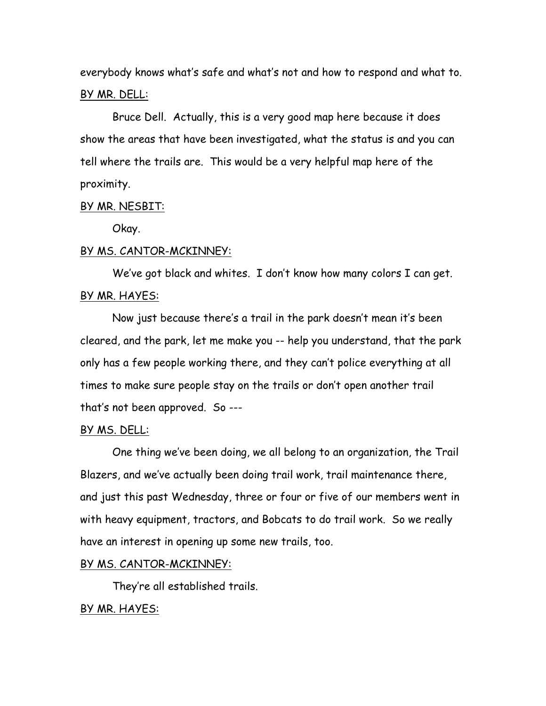everybody knows what's safe and what's not and how to respond and what to. BY MR. DELL:

Bruce Dell. Actually, this is a very good map here because it does show the areas that have been investigated, what the status is and you can tell where the trails are. This would be a very helpful map here of the proximity.

# BY MR. NESBIT:

Okay.

### BY MS. CANTOR-MCKINNEY:

We've got black and whites. I don't know how many colors I can get. BY MR. HAYES:

Now just because there's a trail in the park doesn't mean it's been cleared, and the park, let me make you -- help you understand, that the park only has a few people working there, and they can't police everything at all times to make sure people stay on the trails or don't open another trail that's not been approved. So ---

### BY MS. DELL:

One thing we've been doing, we all belong to an organization, the Trail Blazers, and we've actually been doing trail work, trail maintenance there, and just this past Wednesday, three or four or five of our members went in with heavy equipment, tractors, and Bobcats to do trail work. So we really have an interest in opening up some new trails, too.

# BY MS. CANTOR-MCKINNEY:

They're all established trails.

### BY MR. HAYES: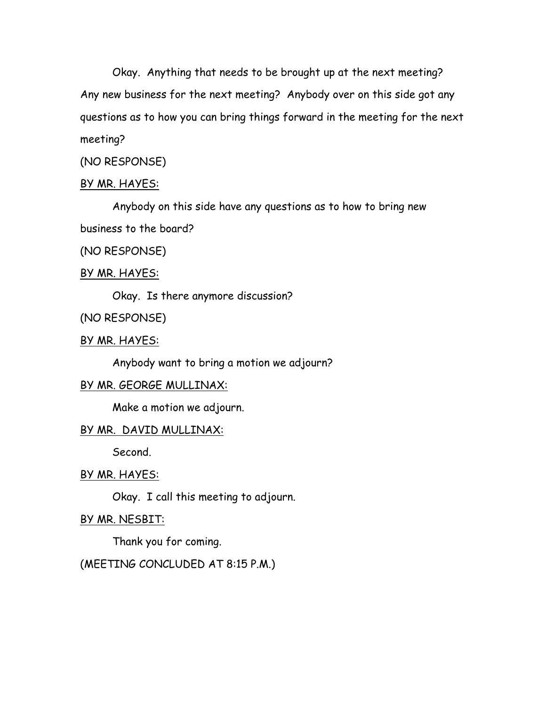Okay. Anything that needs to be brought up at the next meeting? Any new business for the next meeting? Anybody over on this side got any questions as to how you can bring things forward in the meeting for the next meeting?

# (NO RESPONSE)

# BY MR. HAYES:

Anybody on this side have any questions as to how to bring new

business to the board?

(NO RESPONSE)

### BY MR. HAYES:

Okay. Is there anymore discussion?

(NO RESPONSE)

# BY MR. HAYES:

Anybody want to bring a motion we adjourn?

# BY MR. GEORGE MULLINAX:

Make a motion we adjourn.

# BY MR. DAVID MULLINAX:

Second.

### BY MR. HAYES:

Okay. I call this meeting to adjourn.

# BY MR. NESBIT:

Thank you for coming.

# (MEETING CONCLUDED AT 8:15 P.M.)